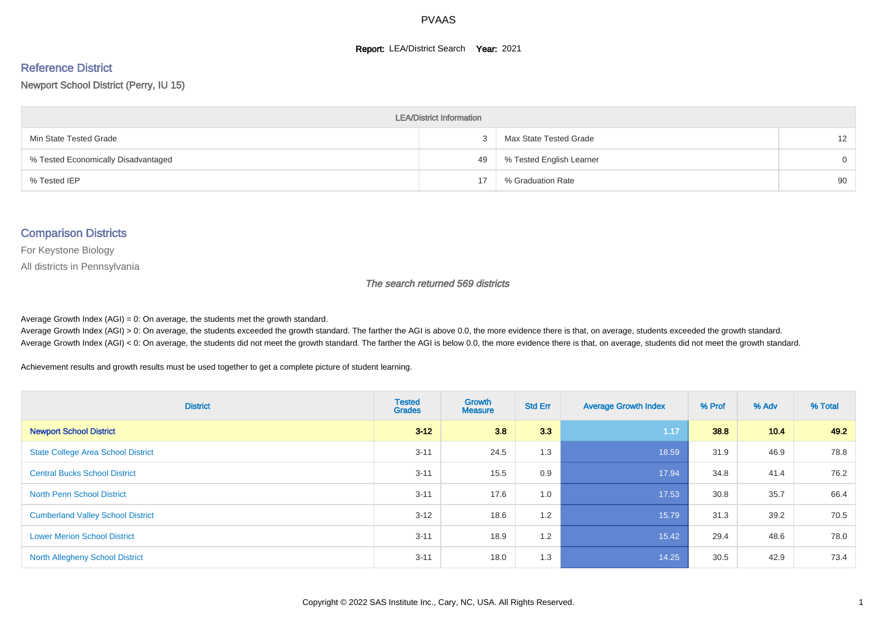#### **Report: LEA/District Search Year: 2021**

# Reference District

#### Newport School District (Perry, IU 15)

| <b>LEA/District Information</b>     |    |                          |                 |  |  |  |  |  |  |  |
|-------------------------------------|----|--------------------------|-----------------|--|--|--|--|--|--|--|
| Min State Tested Grade              | ۰C | Max State Tested Grade   | 12 <sup>2</sup> |  |  |  |  |  |  |  |
| % Tested Economically Disadvantaged | 49 | % Tested English Learner | $\Omega$        |  |  |  |  |  |  |  |
| % Tested IEP                        | 17 | % Graduation Rate        | 90              |  |  |  |  |  |  |  |

#### Comparison Districts

For Keystone Biology

All districts in Pennsylvania

The search returned 569 districts

Average Growth Index  $(AGI) = 0$ : On average, the students met the growth standard.

Average Growth Index (AGI) > 0: On average, the students exceeded the growth standard. The farther the AGI is above 0.0, the more evidence there is that, on average, students exceeded the growth standard. Average Growth Index (AGI) < 0: On average, the students did not meet the growth standard. The farther the AGI is below 0.0, the more evidence there is that, on average, students did not meet the growth standard.

Achievement results and growth results must be used together to get a complete picture of student learning.

| <b>District</b>                           | <b>Tested</b><br><b>Grades</b> | <b>Growth</b><br><b>Measure</b> | <b>Std Err</b> | <b>Average Growth Index</b> | % Prof | % Adv | % Total |
|-------------------------------------------|--------------------------------|---------------------------------|----------------|-----------------------------|--------|-------|---------|
| <b>Newport School District</b>            | $3 - 12$                       | 3.8                             | 3.3            | 1.17                        | 38.8   | 10.4  | 49.2    |
| <b>State College Area School District</b> | $3 - 11$                       | 24.5                            | 1.3            | 18.59                       | 31.9   | 46.9  | 78.8    |
| <b>Central Bucks School District</b>      | $3 - 11$                       | 15.5                            | 0.9            | 17.94                       | 34.8   | 41.4  | 76.2    |
| <b>North Penn School District</b>         | $3 - 11$                       | 17.6                            | 1.0            | 17.53                       | 30.8   | 35.7  | 66.4    |
| <b>Cumberland Valley School District</b>  | $3 - 12$                       | 18.6                            | 1.2            | 15.79                       | 31.3   | 39.2  | 70.5    |
| <b>Lower Merion School District</b>       | $3 - 11$                       | 18.9                            | 1.2            | 15.42                       | 29.4   | 48.6  | 78.0    |
| <b>North Allegheny School District</b>    | $3 - 11$                       | 18.0                            | 1.3            | 14.25                       | 30.5   | 42.9  | 73.4    |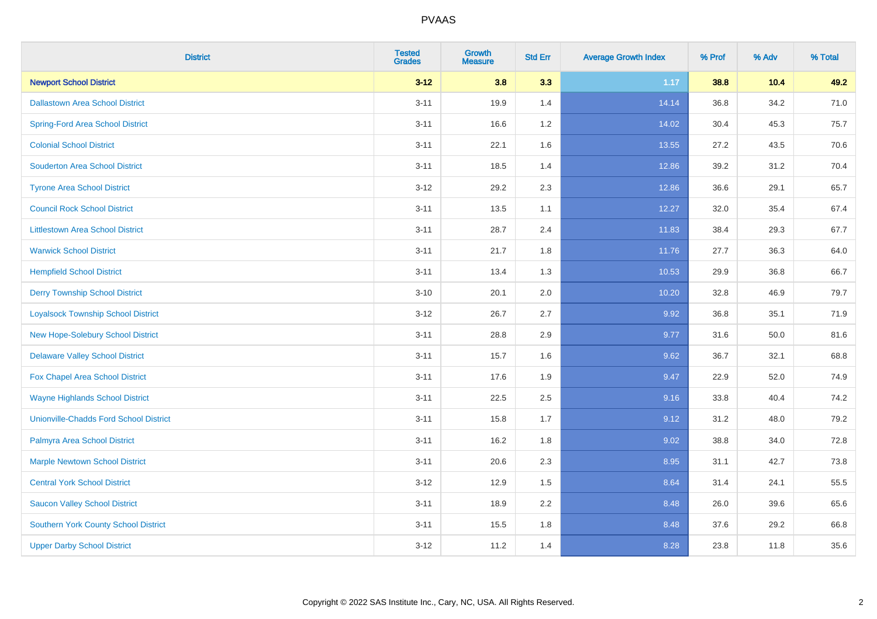| <b>District</b>                               | <b>Tested</b><br><b>Grades</b> | <b>Growth</b><br><b>Measure</b> | <b>Std Err</b> | <b>Average Growth Index</b> | % Prof | % Adv | % Total |
|-----------------------------------------------|--------------------------------|---------------------------------|----------------|-----------------------------|--------|-------|---------|
| <b>Newport School District</b>                | $3 - 12$                       | 3.8                             | 3.3            | 1.17                        | 38.8   | 10.4  | 49.2    |
| <b>Dallastown Area School District</b>        | $3 - 11$                       | 19.9                            | 1.4            | 14.14                       | 36.8   | 34.2  | 71.0    |
| <b>Spring-Ford Area School District</b>       | $3 - 11$                       | 16.6                            | 1.2            | 14.02                       | 30.4   | 45.3  | 75.7    |
| <b>Colonial School District</b>               | $3 - 11$                       | 22.1                            | 1.6            | 13.55                       | 27.2   | 43.5  | 70.6    |
| <b>Souderton Area School District</b>         | $3 - 11$                       | 18.5                            | 1.4            | 12.86                       | 39.2   | 31.2  | 70.4    |
| <b>Tyrone Area School District</b>            | $3 - 12$                       | 29.2                            | 2.3            | 12.86                       | 36.6   | 29.1  | 65.7    |
| <b>Council Rock School District</b>           | $3 - 11$                       | 13.5                            | 1.1            | 12.27                       | 32.0   | 35.4  | 67.4    |
| <b>Littlestown Area School District</b>       | $3 - 11$                       | 28.7                            | 2.4            | 11.83                       | 38.4   | 29.3  | 67.7    |
| <b>Warwick School District</b>                | $3 - 11$                       | 21.7                            | 1.8            | 11.76                       | 27.7   | 36.3  | 64.0    |
| <b>Hempfield School District</b>              | $3 - 11$                       | 13.4                            | 1.3            | 10.53                       | 29.9   | 36.8  | 66.7    |
| <b>Derry Township School District</b>         | $3 - 10$                       | 20.1                            | 2.0            | 10.20                       | 32.8   | 46.9  | 79.7    |
| <b>Loyalsock Township School District</b>     | $3 - 12$                       | 26.7                            | 2.7            | 9.92                        | 36.8   | 35.1  | 71.9    |
| New Hope-Solebury School District             | $3 - 11$                       | 28.8                            | 2.9            | 9.77                        | 31.6   | 50.0  | 81.6    |
| <b>Delaware Valley School District</b>        | $3 - 11$                       | 15.7                            | 1.6            | 9.62                        | 36.7   | 32.1  | 68.8    |
| Fox Chapel Area School District               | $3 - 11$                       | 17.6                            | 1.9            | 9.47                        | 22.9   | 52.0  | 74.9    |
| <b>Wayne Highlands School District</b>        | $3 - 11$                       | 22.5                            | 2.5            | 9.16                        | 33.8   | 40.4  | 74.2    |
| <b>Unionville-Chadds Ford School District</b> | $3 - 11$                       | 15.8                            | 1.7            | 9.12                        | 31.2   | 48.0  | 79.2    |
| Palmyra Area School District                  | $3 - 11$                       | 16.2                            | 1.8            | 9.02                        | 38.8   | 34.0  | 72.8    |
| <b>Marple Newtown School District</b>         | $3 - 11$                       | 20.6                            | 2.3            | 8.95                        | 31.1   | 42.7  | 73.8    |
| <b>Central York School District</b>           | $3 - 12$                       | 12.9                            | 1.5            | 8.64                        | 31.4   | 24.1  | 55.5    |
| <b>Saucon Valley School District</b>          | $3 - 11$                       | 18.9                            | 2.2            | 8.48                        | 26.0   | 39.6  | 65.6    |
| <b>Southern York County School District</b>   | $3 - 11$                       | 15.5                            | 1.8            | 8.48                        | 37.6   | 29.2  | 66.8    |
| <b>Upper Darby School District</b>            | $3 - 12$                       | 11.2                            | 1.4            | 8.28                        | 23.8   | 11.8  | 35.6    |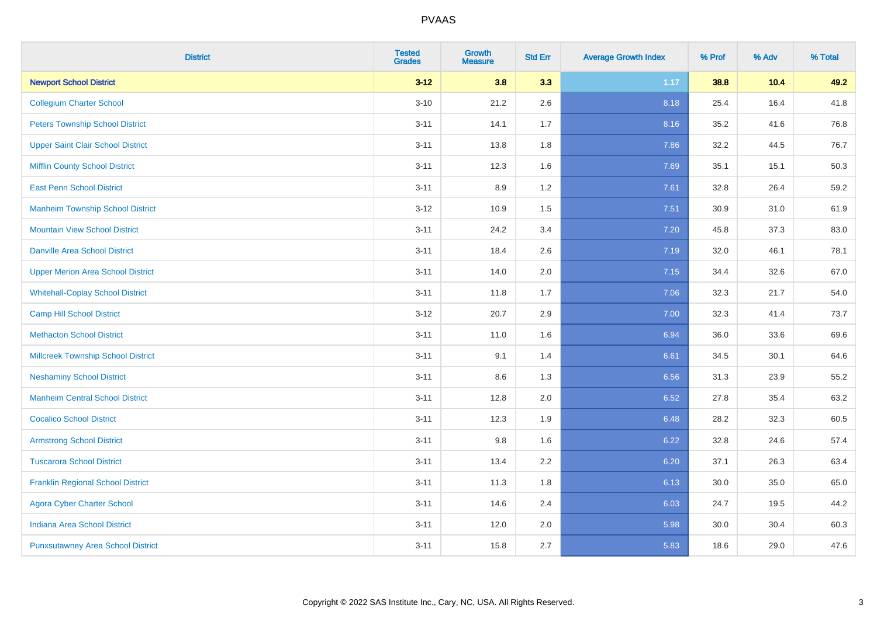| <b>District</b>                           | <b>Tested</b><br><b>Grades</b> | <b>Growth</b><br><b>Measure</b> | <b>Std Err</b> | <b>Average Growth Index</b> | % Prof | % Adv | % Total |
|-------------------------------------------|--------------------------------|---------------------------------|----------------|-----------------------------|--------|-------|---------|
| <b>Newport School District</b>            | $3 - 12$                       | 3.8                             | 3.3            | 1.17                        | 38.8   | 10.4  | 49.2    |
| <b>Collegium Charter School</b>           | $3 - 10$                       | 21.2                            | 2.6            | 8.18                        | 25.4   | 16.4  | 41.8    |
| <b>Peters Township School District</b>    | $3 - 11$                       | 14.1                            | 1.7            | 8.16                        | 35.2   | 41.6  | 76.8    |
| <b>Upper Saint Clair School District</b>  | $3 - 11$                       | 13.8                            | 1.8            | 7.86                        | 32.2   | 44.5  | 76.7    |
| <b>Mifflin County School District</b>     | $3 - 11$                       | 12.3                            | 1.6            | 7.69                        | 35.1   | 15.1  | 50.3    |
| <b>East Penn School District</b>          | $3 - 11$                       | 8.9                             | 1.2            | 7.61                        | 32.8   | 26.4  | 59.2    |
| <b>Manheim Township School District</b>   | $3 - 12$                       | 10.9                            | 1.5            | 7.51                        | 30.9   | 31.0  | 61.9    |
| <b>Mountain View School District</b>      | $3 - 11$                       | 24.2                            | 3.4            | 7.20                        | 45.8   | 37.3  | 83.0    |
| <b>Danville Area School District</b>      | $3 - 11$                       | 18.4                            | 2.6            | 7.19                        | 32.0   | 46.1  | 78.1    |
| <b>Upper Merion Area School District</b>  | $3 - 11$                       | 14.0                            | 2.0            | 7.15                        | 34.4   | 32.6  | 67.0    |
| <b>Whitehall-Coplay School District</b>   | $3 - 11$                       | 11.8                            | 1.7            | 7.06                        | 32.3   | 21.7  | 54.0    |
| <b>Camp Hill School District</b>          | $3 - 12$                       | 20.7                            | 2.9            | 7.00                        | 32.3   | 41.4  | 73.7    |
| <b>Methacton School District</b>          | $3 - 11$                       | 11.0                            | 1.6            | 6.94                        | 36.0   | 33.6  | 69.6    |
| <b>Millcreek Township School District</b> | $3 - 11$                       | 9.1                             | 1.4            | 6.61                        | 34.5   | 30.1  | 64.6    |
| <b>Neshaminy School District</b>          | $3 - 11$                       | 8.6                             | 1.3            | 6.56                        | 31.3   | 23.9  | 55.2    |
| <b>Manheim Central School District</b>    | $3 - 11$                       | 12.8                            | 2.0            | 6.52                        | 27.8   | 35.4  | 63.2    |
| <b>Cocalico School District</b>           | $3 - 11$                       | 12.3                            | 1.9            | 6.48                        | 28.2   | 32.3  | 60.5    |
| <b>Armstrong School District</b>          | $3 - 11$                       | 9.8                             | 1.6            | 6.22                        | 32.8   | 24.6  | 57.4    |
| <b>Tuscarora School District</b>          | $3 - 11$                       | 13.4                            | 2.2            | 6.20                        | 37.1   | 26.3  | 63.4    |
| <b>Franklin Regional School District</b>  | $3 - 11$                       | 11.3                            | 1.8            | 6.13                        | 30.0   | 35.0  | 65.0    |
| <b>Agora Cyber Charter School</b>         | $3 - 11$                       | 14.6                            | 2.4            | 6.03                        | 24.7   | 19.5  | 44.2    |
| Indiana Area School District              | $3 - 11$                       | 12.0                            | 2.0            | 5.98                        | 30.0   | 30.4  | 60.3    |
| <b>Punxsutawney Area School District</b>  | $3 - 11$                       | 15.8                            | 2.7            | 5.83                        | 18.6   | 29.0  | 47.6    |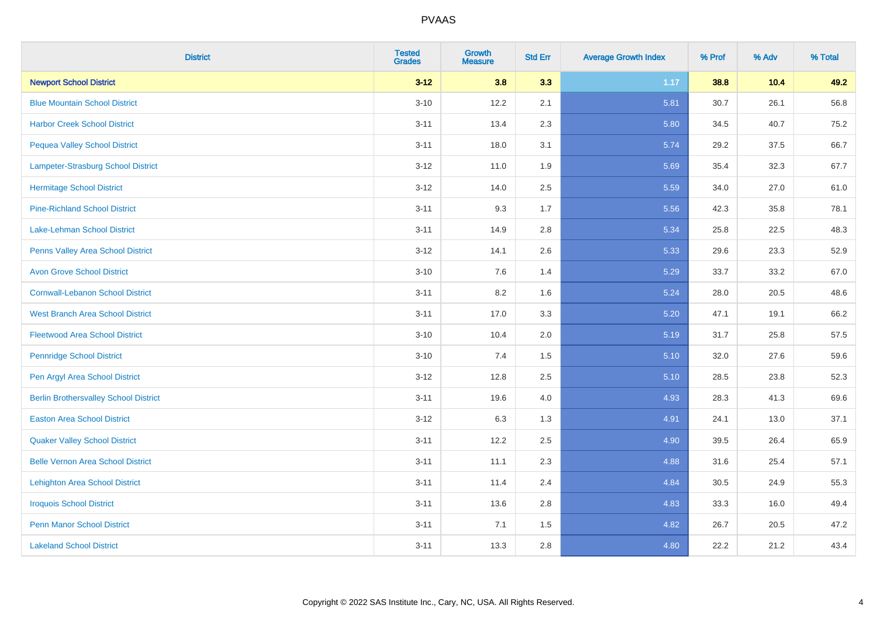| <b>District</b>                              | <b>Tested</b><br><b>Grades</b> | <b>Growth</b><br><b>Measure</b> | <b>Std Err</b> | <b>Average Growth Index</b> | % Prof | % Adv  | % Total |
|----------------------------------------------|--------------------------------|---------------------------------|----------------|-----------------------------|--------|--------|---------|
| <b>Newport School District</b>               | $3 - 12$                       | 3.8                             | 3.3            | 1.17                        | 38.8   | $10.4$ | 49.2    |
| <b>Blue Mountain School District</b>         | $3 - 10$                       | 12.2                            | 2.1            | 5.81                        | 30.7   | 26.1   | 56.8    |
| <b>Harbor Creek School District</b>          | $3 - 11$                       | 13.4                            | 2.3            | 5.80                        | 34.5   | 40.7   | 75.2    |
| <b>Pequea Valley School District</b>         | $3 - 11$                       | 18.0                            | 3.1            | 5.74                        | 29.2   | 37.5   | 66.7    |
| Lampeter-Strasburg School District           | $3 - 12$                       | 11.0                            | 1.9            | 5.69                        | 35.4   | 32.3   | 67.7    |
| <b>Hermitage School District</b>             | $3 - 12$                       | 14.0                            | 2.5            | 5.59                        | 34.0   | 27.0   | 61.0    |
| <b>Pine-Richland School District</b>         | $3 - 11$                       | 9.3                             | 1.7            | 5.56                        | 42.3   | 35.8   | 78.1    |
| <b>Lake-Lehman School District</b>           | $3 - 11$                       | 14.9                            | 2.8            | 5.34                        | 25.8   | 22.5   | 48.3    |
| Penns Valley Area School District            | $3 - 12$                       | 14.1                            | 2.6            | 5.33                        | 29.6   | 23.3   | 52.9    |
| <b>Avon Grove School District</b>            | $3 - 10$                       | $7.6\,$                         | 1.4            | 5.29                        | 33.7   | 33.2   | 67.0    |
| <b>Cornwall-Lebanon School District</b>      | $3 - 11$                       | 8.2                             | 1.6            | 5.24                        | 28.0   | 20.5   | 48.6    |
| <b>West Branch Area School District</b>      | $3 - 11$                       | 17.0                            | 3.3            | $5.20$                      | 47.1   | 19.1   | 66.2    |
| <b>Fleetwood Area School District</b>        | $3 - 10$                       | 10.4                            | 2.0            | 5.19                        | 31.7   | 25.8   | 57.5    |
| <b>Pennridge School District</b>             | $3 - 10$                       | 7.4                             | 1.5            | 5.10                        | 32.0   | 27.6   | 59.6    |
| Pen Argyl Area School District               | $3 - 12$                       | 12.8                            | 2.5            | 5.10                        | 28.5   | 23.8   | 52.3    |
| <b>Berlin Brothersvalley School District</b> | $3 - 11$                       | 19.6                            | 4.0            | 4.93                        | 28.3   | 41.3   | 69.6    |
| <b>Easton Area School District</b>           | $3 - 12$                       | 6.3                             | 1.3            | 4.91                        | 24.1   | 13.0   | 37.1    |
| <b>Quaker Valley School District</b>         | $3 - 11$                       | 12.2                            | 2.5            | 4.90                        | 39.5   | 26.4   | 65.9    |
| <b>Belle Vernon Area School District</b>     | $3 - 11$                       | 11.1                            | 2.3            | 4.88                        | 31.6   | 25.4   | 57.1    |
| <b>Lehighton Area School District</b>        | $3 - 11$                       | 11.4                            | 2.4            | 4.84                        | 30.5   | 24.9   | 55.3    |
| <b>Iroquois School District</b>              | $3 - 11$                       | 13.6                            | 2.8            | 4.83                        | 33.3   | 16.0   | 49.4    |
| <b>Penn Manor School District</b>            | $3 - 11$                       | 7.1                             | 1.5            | 4.82                        | 26.7   | 20.5   | 47.2    |
| <b>Lakeland School District</b>              | $3 - 11$                       | 13.3                            | 2.8            | 4.80                        | 22.2   | 21.2   | 43.4    |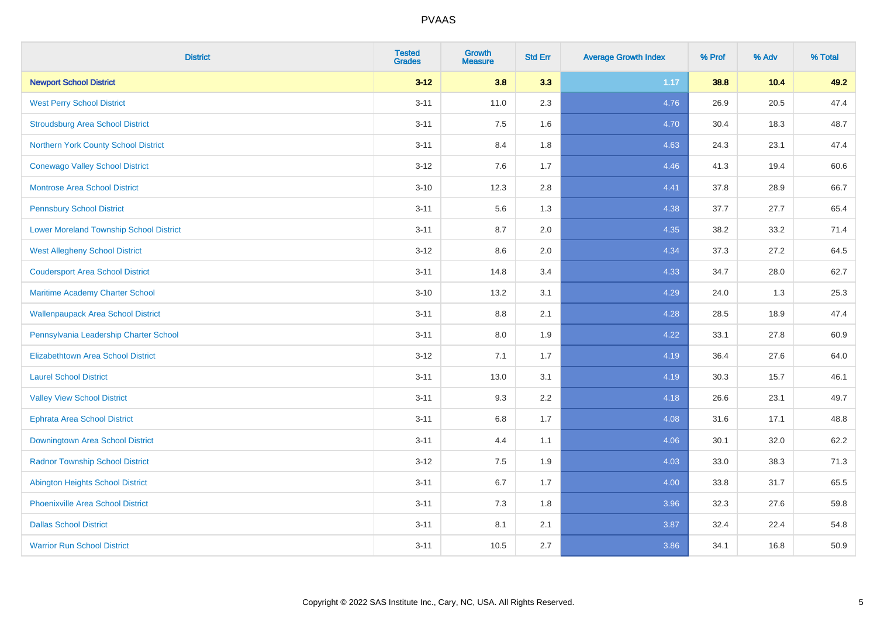| <b>District</b>                                | <b>Tested</b><br><b>Grades</b> | <b>Growth</b><br><b>Measure</b> | <b>Std Err</b> | <b>Average Growth Index</b> | % Prof | % Adv | % Total |
|------------------------------------------------|--------------------------------|---------------------------------|----------------|-----------------------------|--------|-------|---------|
| <b>Newport School District</b>                 | $3 - 12$                       | 3.8                             | 3.3            | 1.17                        | 38.8   | 10.4  | 49.2    |
| <b>West Perry School District</b>              | $3 - 11$                       | 11.0                            | 2.3            | 4.76                        | 26.9   | 20.5  | 47.4    |
| <b>Stroudsburg Area School District</b>        | $3 - 11$                       | 7.5                             | 1.6            | 4.70                        | 30.4   | 18.3  | 48.7    |
| Northern York County School District           | $3 - 11$                       | 8.4                             | 1.8            | 4.63                        | 24.3   | 23.1  | 47.4    |
| <b>Conewago Valley School District</b>         | $3 - 12$                       | 7.6                             | 1.7            | 4.46                        | 41.3   | 19.4  | 60.6    |
| Montrose Area School District                  | $3 - 10$                       | 12.3                            | 2.8            | 4.41                        | 37.8   | 28.9  | 66.7    |
| <b>Pennsbury School District</b>               | $3 - 11$                       | 5.6                             | 1.3            | 4.38                        | 37.7   | 27.7  | 65.4    |
| <b>Lower Moreland Township School District</b> | $3 - 11$                       | 8.7                             | 2.0            | 4.35                        | 38.2   | 33.2  | 71.4    |
| <b>West Allegheny School District</b>          | $3 - 12$                       | 8.6                             | 2.0            | 4.34                        | 37.3   | 27.2  | 64.5    |
| <b>Coudersport Area School District</b>        | $3 - 11$                       | 14.8                            | 3.4            | 4.33                        | 34.7   | 28.0  | 62.7    |
| Maritime Academy Charter School                | $3 - 10$                       | 13.2                            | 3.1            | 4.29                        | 24.0   | 1.3   | 25.3    |
| <b>Wallenpaupack Area School District</b>      | $3 - 11$                       | 8.8                             | 2.1            | 4.28                        | 28.5   | 18.9  | 47.4    |
| Pennsylvania Leadership Charter School         | $3 - 11$                       | $8.0\,$                         | 1.9            | 4.22                        | 33.1   | 27.8  | 60.9    |
| <b>Elizabethtown Area School District</b>      | $3 - 12$                       | 7.1                             | 1.7            | 4.19                        | 36.4   | 27.6  | 64.0    |
| <b>Laurel School District</b>                  | $3 - 11$                       | 13.0                            | 3.1            | 4.19                        | 30.3   | 15.7  | 46.1    |
| <b>Valley View School District</b>             | $3 - 11$                       | 9.3                             | 2.2            | 4.18                        | 26.6   | 23.1  | 49.7    |
| <b>Ephrata Area School District</b>            | $3 - 11$                       | 6.8                             | 1.7            | 4.08                        | 31.6   | 17.1  | 48.8    |
| Downingtown Area School District               | $3 - 11$                       | 4.4                             | 1.1            | 4.06                        | 30.1   | 32.0  | 62.2    |
| <b>Radnor Township School District</b>         | $3 - 12$                       | 7.5                             | 1.9            | 4.03                        | 33.0   | 38.3  | 71.3    |
| <b>Abington Heights School District</b>        | $3 - 11$                       | $6.7\,$                         | 1.7            | 4.00                        | 33.8   | 31.7  | 65.5    |
| Phoenixville Area School District              | $3 - 11$                       | 7.3                             | 1.8            | 3.96                        | 32.3   | 27.6  | 59.8    |
| <b>Dallas School District</b>                  | $3 - 11$                       | 8.1                             | 2.1            | 3.87                        | 32.4   | 22.4  | 54.8    |
| <b>Warrior Run School District</b>             | $3 - 11$                       | 10.5                            | 2.7            | 3.86                        | 34.1   | 16.8  | 50.9    |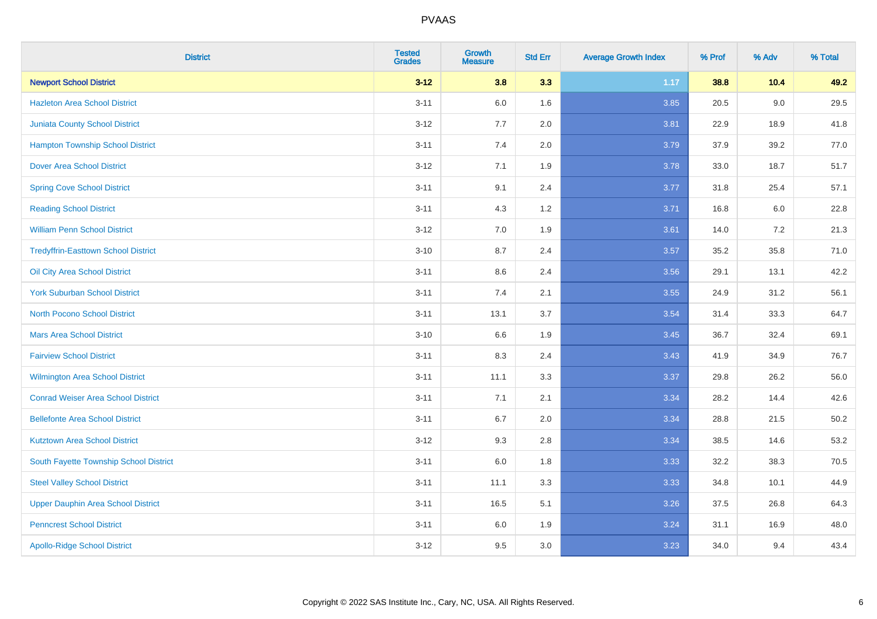| <b>District</b>                            | <b>Tested</b><br><b>Grades</b> | <b>Growth</b><br><b>Measure</b> | <b>Std Err</b> | <b>Average Growth Index</b> | % Prof | % Adv   | % Total  |
|--------------------------------------------|--------------------------------|---------------------------------|----------------|-----------------------------|--------|---------|----------|
| <b>Newport School District</b>             | $3 - 12$                       | 3.8                             | 3.3            | 1.17                        | 38.8   | 10.4    | 49.2     |
| <b>Hazleton Area School District</b>       | $3 - 11$                       | $6.0\,$                         | 1.6            | 3.85                        | 20.5   | $9.0\,$ | 29.5     |
| <b>Juniata County School District</b>      | $3 - 12$                       | 7.7                             | 2.0            | 3.81                        | 22.9   | 18.9    | 41.8     |
| <b>Hampton Township School District</b>    | $3 - 11$                       | 7.4                             | 2.0            | 3.79                        | 37.9   | 39.2    | 77.0     |
| <b>Dover Area School District</b>          | $3 - 12$                       | 7.1                             | 1.9            | 3.78                        | 33.0   | 18.7    | 51.7     |
| <b>Spring Cove School District</b>         | $3 - 11$                       | 9.1                             | 2.4            | 3.77                        | 31.8   | 25.4    | 57.1     |
| <b>Reading School District</b>             | $3 - 11$                       | 4.3                             | 1.2            | 3.71                        | 16.8   | 6.0     | 22.8     |
| <b>William Penn School District</b>        | $3 - 12$                       | 7.0                             | 1.9            | 3.61                        | 14.0   | 7.2     | 21.3     |
| <b>Tredyffrin-Easttown School District</b> | $3 - 10$                       | 8.7                             | 2.4            | 3.57                        | 35.2   | 35.8    | 71.0     |
| Oil City Area School District              | $3 - 11$                       | 8.6                             | 2.4            | 3.56                        | 29.1   | 13.1    | 42.2     |
| <b>York Suburban School District</b>       | $3 - 11$                       | 7.4                             | 2.1            | 3.55                        | 24.9   | 31.2    | 56.1     |
| <b>North Pocono School District</b>        | $3 - 11$                       | 13.1                            | 3.7            | 3.54                        | 31.4   | 33.3    | 64.7     |
| <b>Mars Area School District</b>           | $3 - 10$                       | 6.6                             | 1.9            | 3.45                        | 36.7   | 32.4    | 69.1     |
| <b>Fairview School District</b>            | $3 - 11$                       | 8.3                             | 2.4            | 3.43                        | 41.9   | 34.9    | 76.7     |
| <b>Wilmington Area School District</b>     | $3 - 11$                       | 11.1                            | 3.3            | 3.37                        | 29.8   | 26.2    | 56.0     |
| <b>Conrad Weiser Area School District</b>  | $3 - 11$                       | 7.1                             | 2.1            | 3.34                        | 28.2   | 14.4    | 42.6     |
| <b>Bellefonte Area School District</b>     | $3 - 11$                       | 6.7                             | 2.0            | 3.34                        | 28.8   | 21.5    | $50.2\,$ |
| <b>Kutztown Area School District</b>       | $3 - 12$                       | 9.3                             | 2.8            | 3.34                        | 38.5   | 14.6    | 53.2     |
| South Fayette Township School District     | $3 - 11$                       | $6.0\,$                         | 1.8            | 3.33                        | 32.2   | 38.3    | 70.5     |
| <b>Steel Valley School District</b>        | $3 - 11$                       | 11.1                            | 3.3            | 3.33                        | 34.8   | 10.1    | 44.9     |
| Upper Dauphin Area School District         | $3 - 11$                       | 16.5                            | 5.1            | 3.26                        | 37.5   | 26.8    | 64.3     |
| <b>Penncrest School District</b>           | $3 - 11$                       | 6.0                             | 1.9            | 3.24                        | 31.1   | 16.9    | 48.0     |
| <b>Apollo-Ridge School District</b>        | $3 - 12$                       | 9.5                             | 3.0            | 3.23                        | 34.0   | 9.4     | 43.4     |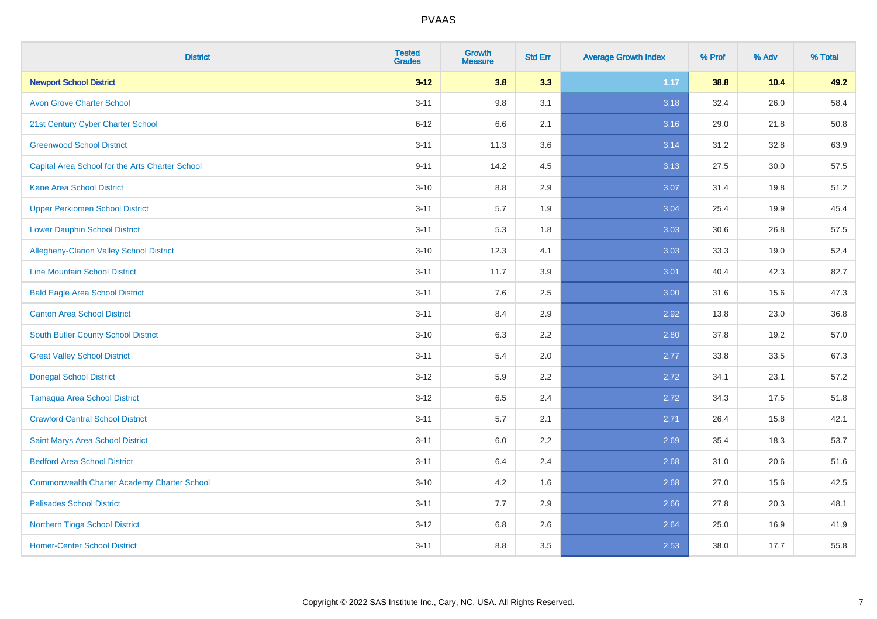| <b>District</b>                                    | <b>Tested</b><br><b>Grades</b> | <b>Growth</b><br><b>Measure</b> | <b>Std Err</b> | <b>Average Growth Index</b> | % Prof | % Adv  | % Total |
|----------------------------------------------------|--------------------------------|---------------------------------|----------------|-----------------------------|--------|--------|---------|
| <b>Newport School District</b>                     | $3 - 12$                       | 3.8                             | 3.3            | 1.17                        | 38.8   | $10.4$ | 49.2    |
| <b>Avon Grove Charter School</b>                   | $3 - 11$                       | 9.8                             | 3.1            | 3.18                        | 32.4   | 26.0   | 58.4    |
| 21st Century Cyber Charter School                  | $6 - 12$                       | 6.6                             | 2.1            | 3.16                        | 29.0   | 21.8   | 50.8    |
| <b>Greenwood School District</b>                   | $3 - 11$                       | 11.3                            | 3.6            | 3.14                        | 31.2   | 32.8   | 63.9    |
| Capital Area School for the Arts Charter School    | $9 - 11$                       | 14.2                            | 4.5            | 3.13                        | 27.5   | 30.0   | 57.5    |
| <b>Kane Area School District</b>                   | $3 - 10$                       | 8.8                             | 2.9            | 3.07                        | 31.4   | 19.8   | 51.2    |
| <b>Upper Perkiomen School District</b>             | $3 - 11$                       | $5.7\,$                         | 1.9            | 3.04                        | 25.4   | 19.9   | 45.4    |
| <b>Lower Dauphin School District</b>               | $3 - 11$                       | 5.3                             | 1.8            | 3.03                        | 30.6   | 26.8   | 57.5    |
| Allegheny-Clarion Valley School District           | $3 - 10$                       | 12.3                            | 4.1            | 3.03                        | 33.3   | 19.0   | 52.4    |
| <b>Line Mountain School District</b>               | $3 - 11$                       | 11.7                            | 3.9            | 3.01                        | 40.4   | 42.3   | 82.7    |
| <b>Bald Eagle Area School District</b>             | $3 - 11$                       | 7.6                             | 2.5            | 3.00                        | 31.6   | 15.6   | 47.3    |
| <b>Canton Area School District</b>                 | $3 - 11$                       | 8.4                             | 2.9            | 2.92                        | 13.8   | 23.0   | 36.8    |
| South Butler County School District                | $3 - 10$                       | 6.3                             | 2.2            | 2.80                        | 37.8   | 19.2   | 57.0    |
| <b>Great Valley School District</b>                | $3 - 11$                       | 5.4                             | 2.0            | 2.77                        | 33.8   | 33.5   | 67.3    |
| <b>Donegal School District</b>                     | $3 - 12$                       | 5.9                             | 2.2            | 2.72                        | 34.1   | 23.1   | 57.2    |
| <b>Tamaqua Area School District</b>                | $3 - 12$                       | 6.5                             | 2.4            | 2.72                        | 34.3   | 17.5   | 51.8    |
| <b>Crawford Central School District</b>            | $3 - 11$                       | 5.7                             | 2.1            | 2.71                        | 26.4   | 15.8   | 42.1    |
| Saint Marys Area School District                   | $3 - 11$                       | 6.0                             | 2.2            | 2.69                        | 35.4   | 18.3   | 53.7    |
| <b>Bedford Area School District</b>                | $3 - 11$                       | 6.4                             | 2.4            | 2.68                        | 31.0   | 20.6   | 51.6    |
| <b>Commonwealth Charter Academy Charter School</b> | $3 - 10$                       | 4.2                             | 1.6            | 2.68                        | 27.0   | 15.6   | 42.5    |
| <b>Palisades School District</b>                   | $3 - 11$                       | 7.7                             | 2.9            | 2.66                        | 27.8   | 20.3   | 48.1    |
| Northern Tioga School District                     | $3 - 12$                       | 6.8                             | 2.6            | 2.64                        | 25.0   | 16.9   | 41.9    |
| <b>Homer-Center School District</b>                | $3 - 11$                       | 8.8                             | 3.5            | 2.53                        | 38.0   | 17.7   | 55.8    |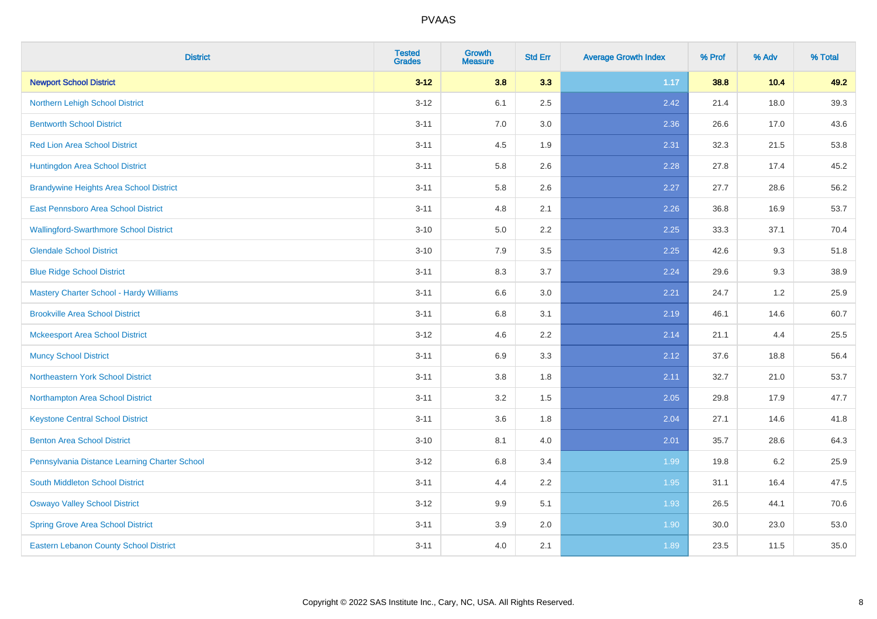| <b>District</b>                                | <b>Tested</b><br><b>Grades</b> | <b>Growth</b><br><b>Measure</b> | <b>Std Err</b> | <b>Average Growth Index</b> | % Prof | % Adv | % Total |
|------------------------------------------------|--------------------------------|---------------------------------|----------------|-----------------------------|--------|-------|---------|
| <b>Newport School District</b>                 | $3 - 12$                       | 3.8                             | 3.3            | 1.17                        | 38.8   | 10.4  | 49.2    |
| Northern Lehigh School District                | $3 - 12$                       | 6.1                             | 2.5            | 2.42                        | 21.4   | 18.0  | 39.3    |
| <b>Bentworth School District</b>               | $3 - 11$                       | 7.0                             | 3.0            | 2.36                        | 26.6   | 17.0  | 43.6    |
| <b>Red Lion Area School District</b>           | $3 - 11$                       | 4.5                             | 1.9            | 2.31                        | 32.3   | 21.5  | 53.8    |
| Huntingdon Area School District                | $3 - 11$                       | 5.8                             | 2.6            | 2.28                        | 27.8   | 17.4  | 45.2    |
| <b>Brandywine Heights Area School District</b> | $3 - 11$                       | 5.8                             | 2.6            | 2.27                        | 27.7   | 28.6  | 56.2    |
| East Pennsboro Area School District            | $3 - 11$                       | 4.8                             | 2.1            | 2.26                        | 36.8   | 16.9  | 53.7    |
| <b>Wallingford-Swarthmore School District</b>  | $3 - 10$                       | 5.0                             | 2.2            | 2.25                        | 33.3   | 37.1  | 70.4    |
| <b>Glendale School District</b>                | $3 - 10$                       | 7.9                             | 3.5            | 2.25                        | 42.6   | 9.3   | 51.8    |
| <b>Blue Ridge School District</b>              | $3 - 11$                       | 8.3                             | 3.7            | 2.24                        | 29.6   | 9.3   | 38.9    |
| Mastery Charter School - Hardy Williams        | $3 - 11$                       | 6.6                             | 3.0            | 2.21                        | 24.7   | 1.2   | 25.9    |
| <b>Brookville Area School District</b>         | $3 - 11$                       | 6.8                             | 3.1            | 2.19                        | 46.1   | 14.6  | 60.7    |
| <b>Mckeesport Area School District</b>         | $3 - 12$                       | 4.6                             | 2.2            | 2.14                        | 21.1   | 4.4   | 25.5    |
| <b>Muncy School District</b>                   | $3 - 11$                       | 6.9                             | 3.3            | 2.12                        | 37.6   | 18.8  | 56.4    |
| <b>Northeastern York School District</b>       | $3 - 11$                       | 3.8                             | 1.8            | 2.11                        | 32.7   | 21.0  | 53.7    |
| Northampton Area School District               | $3 - 11$                       | 3.2                             | 1.5            | 2.05                        | 29.8   | 17.9  | 47.7    |
| <b>Keystone Central School District</b>        | $3 - 11$                       | 3.6                             | 1.8            | 2.04                        | 27.1   | 14.6  | 41.8    |
| <b>Benton Area School District</b>             | $3 - 10$                       | 8.1                             | 4.0            | 2.01                        | 35.7   | 28.6  | 64.3    |
| Pennsylvania Distance Learning Charter School  | $3 - 12$                       | 6.8                             | 3.4            | 1.99                        | 19.8   | 6.2   | 25.9    |
| <b>South Middleton School District</b>         | $3 - 11$                       | 4.4                             | 2.2            | 1.95                        | 31.1   | 16.4  | 47.5    |
| <b>Oswayo Valley School District</b>           | $3-12$                         | 9.9                             | 5.1            | 1.93                        | 26.5   | 44.1  | 70.6    |
| <b>Spring Grove Area School District</b>       | $3 - 11$                       | 3.9                             | 2.0            | 1.90                        | 30.0   | 23.0  | 53.0    |
| <b>Eastern Lebanon County School District</b>  | $3 - 11$                       | 4.0                             | 2.1            | 1.89                        | 23.5   | 11.5  | 35.0    |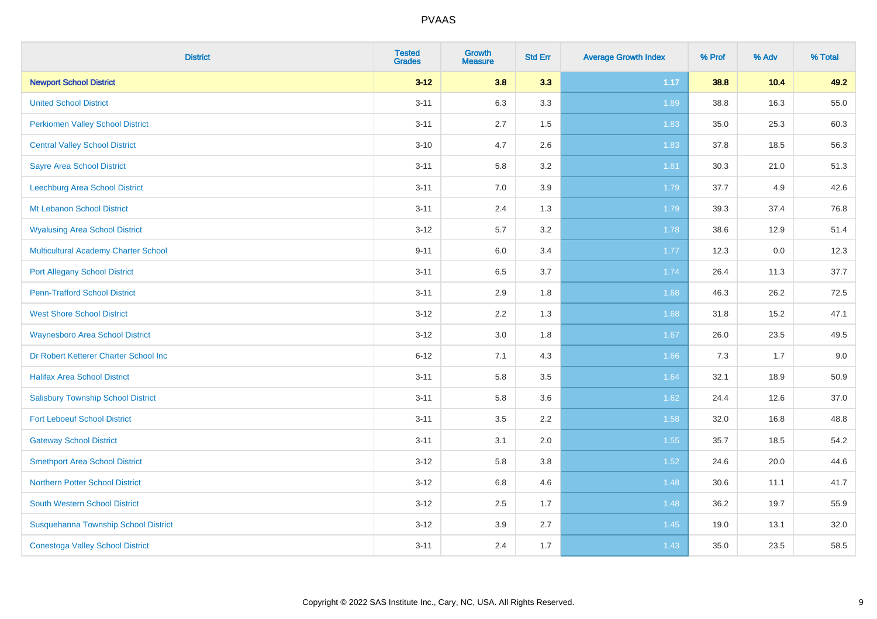| <b>District</b>                             | <b>Tested</b><br><b>Grades</b> | <b>Growth</b><br><b>Measure</b> | <b>Std Err</b> | <b>Average Growth Index</b> | % Prof | % Adv | % Total |
|---------------------------------------------|--------------------------------|---------------------------------|----------------|-----------------------------|--------|-------|---------|
| <b>Newport School District</b>              | $3 - 12$                       | 3.8                             | 3.3            | 1.17                        | 38.8   | 10.4  | 49.2    |
| <b>United School District</b>               | $3 - 11$                       | 6.3                             | 3.3            | 1.89                        | 38.8   | 16.3  | 55.0    |
| <b>Perkiomen Valley School District</b>     | $3 - 11$                       | 2.7                             | 1.5            | 1.83                        | 35.0   | 25.3  | 60.3    |
| <b>Central Valley School District</b>       | $3 - 10$                       | 4.7                             | 2.6            | 1.83                        | 37.8   | 18.5  | 56.3    |
| <b>Sayre Area School District</b>           | $3 - 11$                       | 5.8                             | 3.2            | 1.81                        | 30.3   | 21.0  | 51.3    |
| Leechburg Area School District              | $3 - 11$                       | 7.0                             | 3.9            | 1.79                        | 37.7   | 4.9   | 42.6    |
| Mt Lebanon School District                  | $3 - 11$                       | 2.4                             | 1.3            | 1.79                        | 39.3   | 37.4  | 76.8    |
| <b>Wyalusing Area School District</b>       | $3 - 12$                       | 5.7                             | 3.2            | 1.78                        | 38.6   | 12.9  | 51.4    |
| <b>Multicultural Academy Charter School</b> | $9 - 11$                       | 6.0                             | 3.4            | 1.77                        | 12.3   | 0.0   | 12.3    |
| <b>Port Allegany School District</b>        | $3 - 11$                       | 6.5                             | 3.7            | 1.74                        | 26.4   | 11.3  | 37.7    |
| <b>Penn-Trafford School District</b>        | $3 - 11$                       | 2.9                             | 1.8            | 1.68                        | 46.3   | 26.2  | 72.5    |
| <b>West Shore School District</b>           | $3 - 12$                       | 2.2                             | 1.3            | 1.68                        | 31.8   | 15.2  | 47.1    |
| <b>Waynesboro Area School District</b>      | $3 - 12$                       | $3.0\,$                         | 1.8            | 1.67                        | 26.0   | 23.5  | 49.5    |
| Dr Robert Ketterer Charter School Inc       | $6 - 12$                       | 7.1                             | 4.3            | 1.66                        | 7.3    | 1.7   | 9.0     |
| <b>Halifax Area School District</b>         | $3 - 11$                       | 5.8                             | 3.5            | 1.64                        | 32.1   | 18.9  | 50.9    |
| <b>Salisbury Township School District</b>   | $3 - 11$                       | 5.8                             | 3.6            | 1.62                        | 24.4   | 12.6  | 37.0    |
| <b>Fort Leboeuf School District</b>         | $3 - 11$                       | 3.5                             | 2.2            | 1.58                        | 32.0   | 16.8  | 48.8    |
| <b>Gateway School District</b>              | $3 - 11$                       | 3.1                             | 2.0            | 1.55                        | 35.7   | 18.5  | 54.2    |
| <b>Smethport Area School District</b>       | $3 - 12$                       | 5.8                             | 3.8            | 1.52                        | 24.6   | 20.0  | 44.6    |
| <b>Northern Potter School District</b>      | $3-12$                         | $6.8\,$                         | 4.6            | 1.48                        | 30.6   | 11.1  | 41.7    |
| South Western School District               | $3 - 12$                       | 2.5                             | 1.7            | 1.48                        | 36.2   | 19.7  | 55.9    |
| Susquehanna Township School District        | $3 - 12$                       | 3.9                             | 2.7            | 1.45                        | 19.0   | 13.1  | 32.0    |
| <b>Conestoga Valley School District</b>     | $3 - 11$                       | 2.4                             | 1.7            | 1.43                        | 35.0   | 23.5  | 58.5    |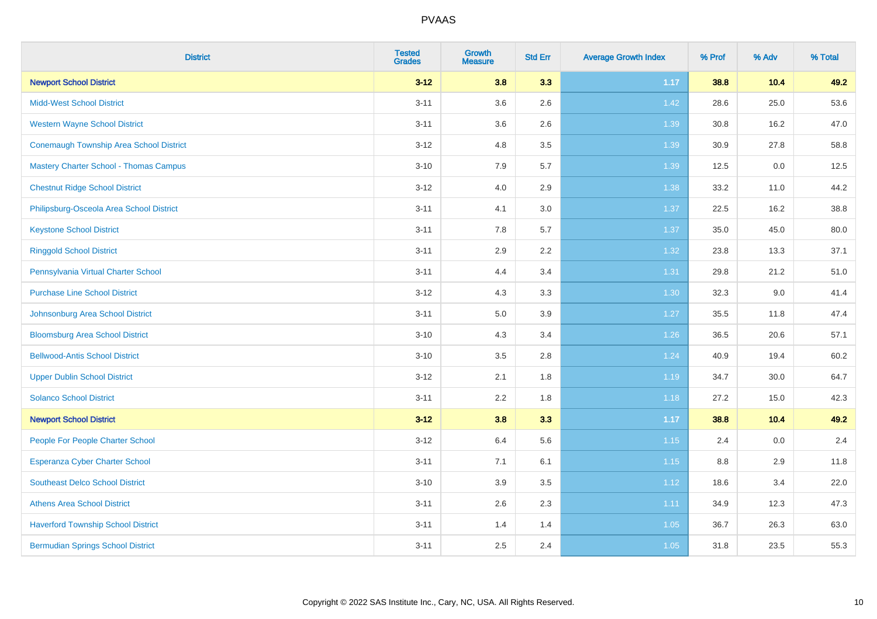| <b>District</b>                                | <b>Tested</b><br><b>Grades</b> | <b>Growth</b><br><b>Measure</b> | <b>Std Err</b> | <b>Average Growth Index</b> | % Prof | % Adv  | % Total |
|------------------------------------------------|--------------------------------|---------------------------------|----------------|-----------------------------|--------|--------|---------|
| <b>Newport School District</b>                 | $3 - 12$                       | 3.8                             | 3.3            | 1.17                        | 38.8   | $10.4$ | 49.2    |
| <b>Midd-West School District</b>               | $3 - 11$                       | 3.6                             | 2.6            | 1.42                        | 28.6   | 25.0   | 53.6    |
| <b>Western Wayne School District</b>           | $3 - 11$                       | 3.6                             | 2.6            | 1.39                        | 30.8   | 16.2   | 47.0    |
| <b>Conemaugh Township Area School District</b> | $3 - 12$                       | 4.8                             | 3.5            | 1.39                        | 30.9   | 27.8   | 58.8    |
| <b>Mastery Charter School - Thomas Campus</b>  | $3 - 10$                       | 7.9                             | 5.7            | 1.39                        | 12.5   | 0.0    | 12.5    |
| <b>Chestnut Ridge School District</b>          | $3 - 12$                       | 4.0                             | 2.9            | 1.38                        | 33.2   | 11.0   | 44.2    |
| Philipsburg-Osceola Area School District       | $3 - 11$                       | 4.1                             | 3.0            | 1.37                        | 22.5   | 16.2   | 38.8    |
| <b>Keystone School District</b>                | $3 - 11$                       | 7.8                             | 5.7            | 1.37                        | 35.0   | 45.0   | 80.0    |
| <b>Ringgold School District</b>                | $3 - 11$                       | 2.9                             | 2.2            | 1.32                        | 23.8   | 13.3   | 37.1    |
| Pennsylvania Virtual Charter School            | $3 - 11$                       | 4.4                             | 3.4            | 1.31                        | 29.8   | 21.2   | 51.0    |
| <b>Purchase Line School District</b>           | $3 - 12$                       | 4.3                             | 3.3            | 1.30                        | 32.3   | 9.0    | 41.4    |
| Johnsonburg Area School District               | $3 - 11$                       | $5.0\,$                         | 3.9            | 1.27                        | 35.5   | 11.8   | 47.4    |
| <b>Bloomsburg Area School District</b>         | $3 - 10$                       | 4.3                             | 3.4            | $1.26$                      | 36.5   | 20.6   | 57.1    |
| <b>Bellwood-Antis School District</b>          | $3 - 10$                       | 3.5                             | 2.8            | 1.24                        | 40.9   | 19.4   | 60.2    |
| <b>Upper Dublin School District</b>            | $3 - 12$                       | 2.1                             | 1.8            | 1.19                        | 34.7   | 30.0   | 64.7    |
| <b>Solanco School District</b>                 | $3 - 11$                       | 2.2                             | 1.8            | 1.18                        | 27.2   | 15.0   | 42.3    |
| <b>Newport School District</b>                 | $3 - 12$                       | 3.8                             | 3.3            | $1.17$                      | 38.8   | 10.4   | 49.2    |
| People For People Charter School               | $3 - 12$                       | 6.4                             | 5.6            | 1.15                        | 2.4    | 0.0    | 2.4     |
| <b>Esperanza Cyber Charter School</b>          | $3 - 11$                       | 7.1                             | 6.1            | 1.15                        | 8.8    | 2.9    | 11.8    |
| <b>Southeast Delco School District</b>         | $3 - 10$                       | 3.9                             | 3.5            | 1.12                        | 18.6   | 3.4    | 22.0    |
| <b>Athens Area School District</b>             | $3 - 11$                       | 2.6                             | 2.3            | 1.11                        | 34.9   | 12.3   | 47.3    |
| <b>Haverford Township School District</b>      | $3 - 11$                       | 1.4                             | 1.4            | 1.05                        | 36.7   | 26.3   | 63.0    |
| <b>Bermudian Springs School District</b>       | $3 - 11$                       | 2.5                             | 2.4            | 1.05                        | 31.8   | 23.5   | 55.3    |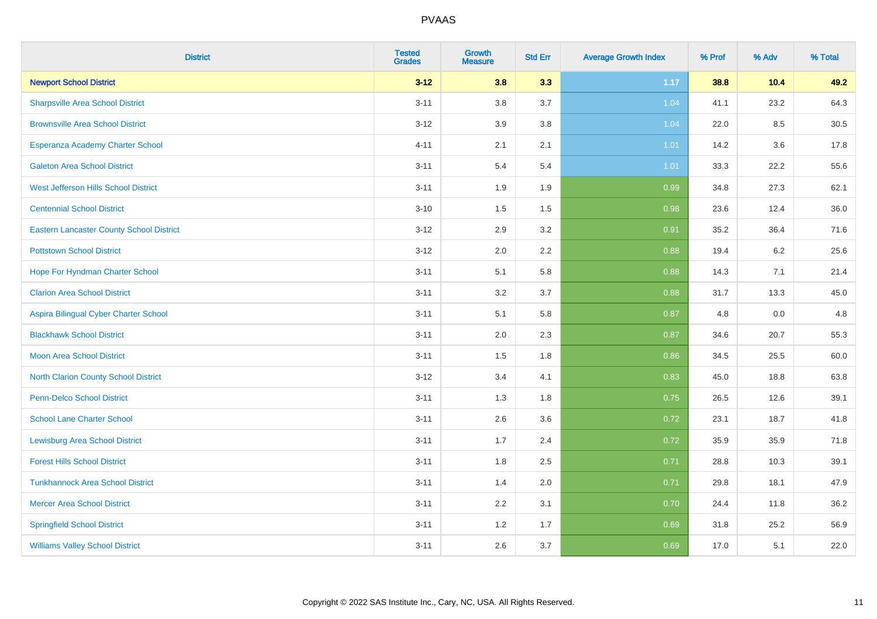| <b>District</b>                                 | <b>Tested</b><br><b>Grades</b> | <b>Growth</b><br><b>Measure</b> | <b>Std Err</b> | <b>Average Growth Index</b> | % Prof | % Adv | % Total |
|-------------------------------------------------|--------------------------------|---------------------------------|----------------|-----------------------------|--------|-------|---------|
| <b>Newport School District</b>                  | $3 - 12$                       | 3.8                             | 3.3            | 1.17                        | 38.8   | 10.4  | 49.2    |
| <b>Sharpsville Area School District</b>         | $3 - 11$                       | 3.8                             | 3.7            | 1.04                        | 41.1   | 23.2  | 64.3    |
| <b>Brownsville Area School District</b>         | $3 - 12$                       | 3.9                             | 3.8            | 1.04                        | 22.0   | 8.5   | 30.5    |
| Esperanza Academy Charter School                | $4 - 11$                       | 2.1                             | 2.1            | 1.01                        | 14.2   | 3.6   | 17.8    |
| <b>Galeton Area School District</b>             | $3 - 11$                       | 5.4                             | 5.4            | 1.01                        | 33.3   | 22.2  | 55.6    |
| West Jefferson Hills School District            | $3 - 11$                       | 1.9                             | 1.9            | 0.99                        | 34.8   | 27.3  | 62.1    |
| <b>Centennial School District</b>               | $3 - 10$                       | 1.5                             | $1.5$          | 0.98                        | 23.6   | 12.4  | 36.0    |
| <b>Eastern Lancaster County School District</b> | $3 - 12$                       | 2.9                             | 3.2            | 0.91                        | 35.2   | 36.4  | 71.6    |
| <b>Pottstown School District</b>                | $3 - 12$                       | 2.0                             | 2.2            | 0.88                        | 19.4   | 6.2   | 25.6    |
| Hope For Hyndman Charter School                 | $3 - 11$                       | 5.1                             | 5.8            | 0.88                        | 14.3   | 7.1   | 21.4    |
| <b>Clarion Area School District</b>             | $3 - 11$                       | 3.2                             | 3.7            | 0.88                        | 31.7   | 13.3  | 45.0    |
| Aspira Bilingual Cyber Charter School           | $3 - 11$                       | 5.1                             | 5.8            | 0.87                        | 4.8    | 0.0   | 4.8     |
| <b>Blackhawk School District</b>                | $3 - 11$                       | 2.0                             | 2.3            | 0.87                        | 34.6   | 20.7  | 55.3    |
| <b>Moon Area School District</b>                | $3 - 11$                       | 1.5                             | 1.8            | 0.86                        | 34.5   | 25.5  | 60.0    |
| <b>North Clarion County School District</b>     | $3 - 12$                       | 3.4                             | 4.1            | 0.83                        | 45.0   | 18.8  | 63.8    |
| Penn-Delco School District                      | $3 - 11$                       | 1.3                             | 1.8            | 0.75                        | 26.5   | 12.6  | 39.1    |
| <b>School Lane Charter School</b>               | $3 - 11$                       | 2.6                             | 3.6            | 0.72                        | 23.1   | 18.7  | 41.8    |
| <b>Lewisburg Area School District</b>           | $3 - 11$                       | 1.7                             | 2.4            | 0.72                        | 35.9   | 35.9  | 71.8    |
| <b>Forest Hills School District</b>             | $3 - 11$                       | 1.8                             | 2.5            | 0.71                        | 28.8   | 10.3  | 39.1    |
| <b>Tunkhannock Area School District</b>         | $3 - 11$                       | 1.4                             | 2.0            | 0.71                        | 29.8   | 18.1  | 47.9    |
| <b>Mercer Area School District</b>              | $3 - 11$                       | 2.2                             | 3.1            | 0.70                        | 24.4   | 11.8  | 36.2    |
| <b>Springfield School District</b>              | $3 - 11$                       | 1.2                             | 1.7            | 0.69                        | 31.8   | 25.2  | 56.9    |
| <b>Williams Valley School District</b>          | $3 - 11$                       | 2.6                             | 3.7            | 0.69                        | 17.0   | 5.1   | 22.0    |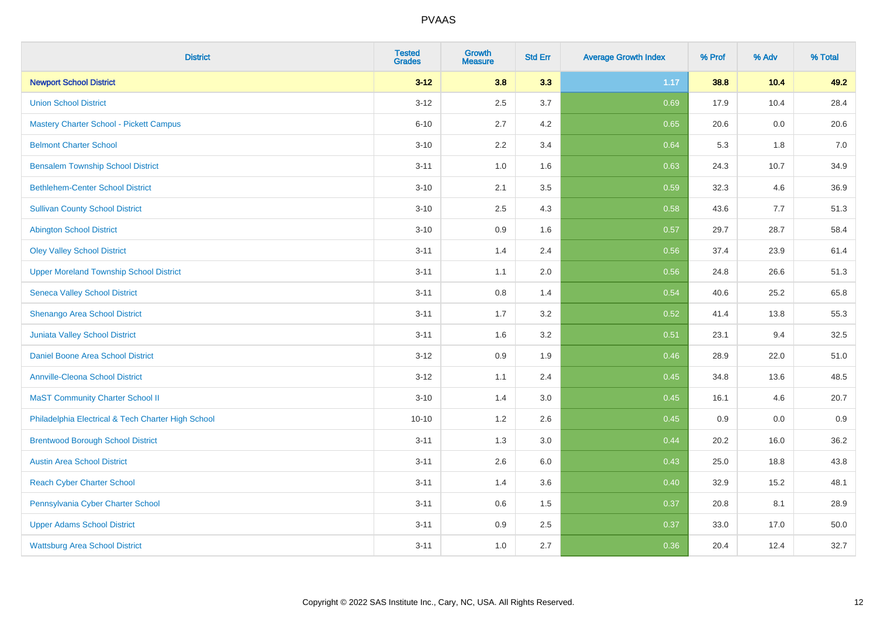| <b>District</b>                                    | <b>Tested</b><br><b>Grades</b> | <b>Growth</b><br><b>Measure</b> | <b>Std Err</b> | <b>Average Growth Index</b> | % Prof | % Adv | % Total |
|----------------------------------------------------|--------------------------------|---------------------------------|----------------|-----------------------------|--------|-------|---------|
| <b>Newport School District</b>                     | $3 - 12$                       | 3.8                             | 3.3            | 1.17                        | 38.8   | 10.4  | 49.2    |
| <b>Union School District</b>                       | $3 - 12$                       | 2.5                             | 3.7            | 0.69                        | 17.9   | 10.4  | 28.4    |
| <b>Mastery Charter School - Pickett Campus</b>     | $6 - 10$                       | 2.7                             | 4.2            | 0.65                        | 20.6   | 0.0   | 20.6    |
| <b>Belmont Charter School</b>                      | $3 - 10$                       | 2.2                             | 3.4            | 0.64                        | 5.3    | 1.8   | $7.0$   |
| <b>Bensalem Township School District</b>           | $3 - 11$                       | 1.0                             | 1.6            | 0.63                        | 24.3   | 10.7  | 34.9    |
| <b>Bethlehem-Center School District</b>            | $3 - 10$                       | 2.1                             | 3.5            | 0.59                        | 32.3   | 4.6   | 36.9    |
| <b>Sullivan County School District</b>             | $3 - 10$                       | 2.5                             | 4.3            | 0.58                        | 43.6   | 7.7   | 51.3    |
| <b>Abington School District</b>                    | $3 - 10$                       | 0.9                             | 1.6            | 0.57                        | 29.7   | 28.7  | 58.4    |
| <b>Oley Valley School District</b>                 | $3 - 11$                       | 1.4                             | 2.4            | 0.56                        | 37.4   | 23.9  | 61.4    |
| <b>Upper Moreland Township School District</b>     | $3 - 11$                       | 1.1                             | 2.0            | 0.56                        | 24.8   | 26.6  | 51.3    |
| <b>Seneca Valley School District</b>               | $3 - 11$                       | 0.8                             | 1.4            | 0.54                        | 40.6   | 25.2  | 65.8    |
| Shenango Area School District                      | $3 - 11$                       | 1.7                             | 3.2            | 0.52                        | 41.4   | 13.8  | 55.3    |
| <b>Juniata Valley School District</b>              | $3 - 11$                       | 1.6                             | 3.2            | 0.51                        | 23.1   | 9.4   | 32.5    |
| Daniel Boone Area School District                  | $3 - 12$                       | 0.9                             | 1.9            | 0.46                        | 28.9   | 22.0  | 51.0    |
| <b>Annville-Cleona School District</b>             | $3 - 12$                       | 1.1                             | 2.4            | 0.45                        | 34.8   | 13.6  | 48.5    |
| <b>MaST Community Charter School II</b>            | $3 - 10$                       | 1.4                             | 3.0            | 0.45                        | 16.1   | 4.6   | 20.7    |
| Philadelphia Electrical & Tech Charter High School | $10 - 10$                      | 1.2                             | 2.6            | 0.45                        | 0.9    | 0.0   | 0.9     |
| <b>Brentwood Borough School District</b>           | $3 - 11$                       | 1.3                             | 3.0            | 0.44                        | 20.2   | 16.0  | 36.2    |
| <b>Austin Area School District</b>                 | $3 - 11$                       | 2.6                             | 6.0            | 0.43                        | 25.0   | 18.8  | 43.8    |
| <b>Reach Cyber Charter School</b>                  | $3 - 11$                       | 1.4                             | 3.6            | 0.40                        | 32.9   | 15.2  | 48.1    |
| Pennsylvania Cyber Charter School                  | $3 - 11$                       | 0.6                             | 1.5            | 0.37                        | 20.8   | 8.1   | 28.9    |
| <b>Upper Adams School District</b>                 | $3 - 11$                       | 0.9                             | 2.5            | 0.37                        | 33.0   | 17.0  | 50.0    |
| <b>Wattsburg Area School District</b>              | $3 - 11$                       | 1.0                             | 2.7            | 0.36                        | 20.4   | 12.4  | 32.7    |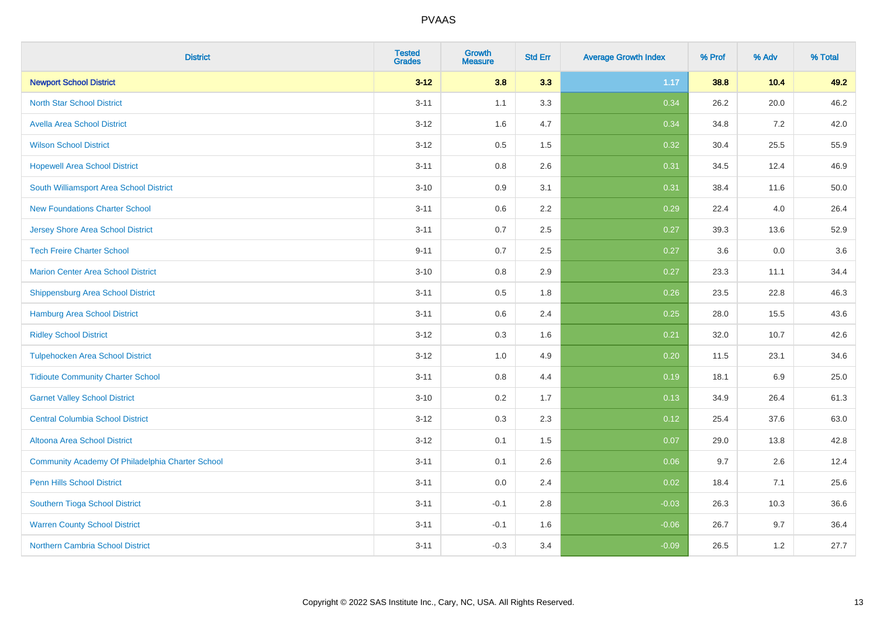| <b>District</b>                                  | <b>Tested</b><br><b>Grades</b> | <b>Growth</b><br><b>Measure</b> | <b>Std Err</b> | <b>Average Growth Index</b> | % Prof | % Adv | % Total |
|--------------------------------------------------|--------------------------------|---------------------------------|----------------|-----------------------------|--------|-------|---------|
| <b>Newport School District</b>                   | $3 - 12$                       | 3.8                             | 3.3            | 1.17                        | 38.8   | 10.4  | 49.2    |
| <b>North Star School District</b>                | $3 - 11$                       | 1.1                             | 3.3            | 0.34                        | 26.2   | 20.0  | 46.2    |
| <b>Avella Area School District</b>               | $3 - 12$                       | 1.6                             | 4.7            | 0.34                        | 34.8   | 7.2   | 42.0    |
| <b>Wilson School District</b>                    | $3 - 12$                       | 0.5                             | 1.5            | 0.32                        | 30.4   | 25.5  | 55.9    |
| <b>Hopewell Area School District</b>             | $3 - 11$                       | 0.8                             | 2.6            | 0.31                        | 34.5   | 12.4  | 46.9    |
| South Williamsport Area School District          | $3 - 10$                       | 0.9                             | 3.1            | 0.31                        | 38.4   | 11.6  | 50.0    |
| <b>New Foundations Charter School</b>            | $3 - 11$                       | 0.6                             | 2.2            | 0.29                        | 22.4   | 4.0   | 26.4    |
| <b>Jersey Shore Area School District</b>         | $3 - 11$                       | 0.7                             | 2.5            | 0.27                        | 39.3   | 13.6  | 52.9    |
| <b>Tech Freire Charter School</b>                | $9 - 11$                       | 0.7                             | 2.5            | 0.27                        | 3.6    | 0.0   | 3.6     |
| <b>Marion Center Area School District</b>        | $3 - 10$                       | 0.8                             | 2.9            | 0.27                        | 23.3   | 11.1  | 34.4    |
| <b>Shippensburg Area School District</b>         | $3 - 11$                       | 0.5                             | 1.8            | 0.26                        | 23.5   | 22.8  | 46.3    |
| <b>Hamburg Area School District</b>              | $3 - 11$                       | 0.6                             | 2.4            | 0.25                        | 28.0   | 15.5  | 43.6    |
| <b>Ridley School District</b>                    | $3 - 12$                       | 0.3                             | 1.6            | 0.21                        | 32.0   | 10.7  | 42.6    |
| <b>Tulpehocken Area School District</b>          | $3 - 12$                       | 1.0                             | 4.9            | 0.20                        | 11.5   | 23.1  | 34.6    |
| <b>Tidioute Community Charter School</b>         | $3 - 11$                       | 0.8                             | 4.4            | 0.19                        | 18.1   | 6.9   | 25.0    |
| <b>Garnet Valley School District</b>             | $3 - 10$                       | 0.2                             | 1.7            | 0.13                        | 34.9   | 26.4  | 61.3    |
| <b>Central Columbia School District</b>          | $3 - 12$                       | 0.3                             | 2.3            | 0.12                        | 25.4   | 37.6  | 63.0    |
| Altoona Area School District                     | $3 - 12$                       | 0.1                             | 1.5            | 0.07                        | 29.0   | 13.8  | 42.8    |
| Community Academy Of Philadelphia Charter School | $3 - 11$                       | 0.1                             | 2.6            | 0.06                        | 9.7    | 2.6   | 12.4    |
| Penn Hills School District                       | $3 - 11$                       | 0.0                             | 2.4            | 0.02                        | 18.4   | 7.1   | 25.6    |
| <b>Southern Tioga School District</b>            | $3 - 11$                       | $-0.1$                          | 2.8            | $-0.03$                     | 26.3   | 10.3  | 36.6    |
| <b>Warren County School District</b>             | $3 - 11$                       | $-0.1$                          | 1.6            | $-0.06$                     | 26.7   | 9.7   | 36.4    |
| <b>Northern Cambria School District</b>          | $3 - 11$                       | $-0.3$                          | 3.4            | $-0.09$                     | 26.5   | $1.2$ | 27.7    |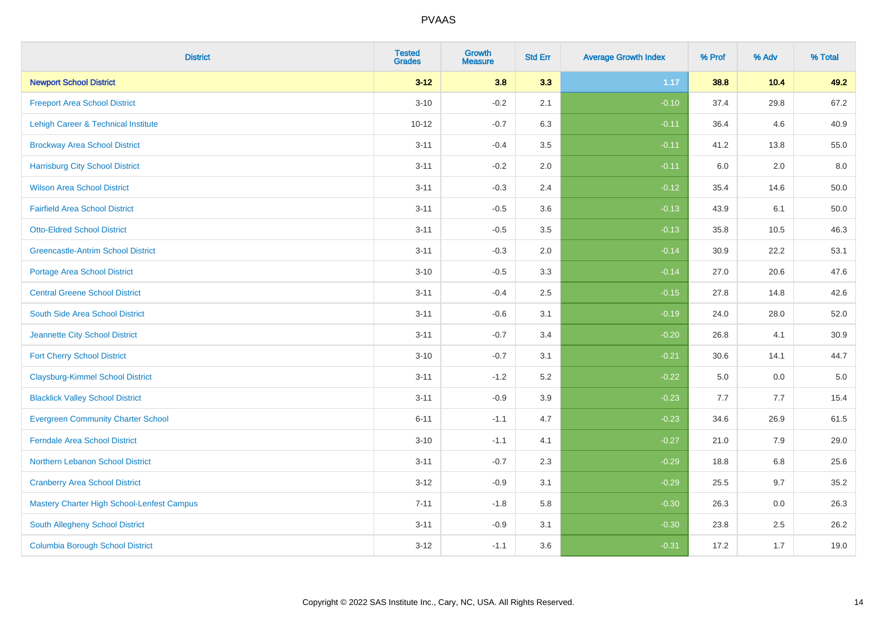| <b>District</b>                            | <b>Tested</b><br><b>Grades</b> | <b>Growth</b><br><b>Measure</b> | <b>Std Err</b> | <b>Average Growth Index</b> | % Prof | % Adv | % Total  |
|--------------------------------------------|--------------------------------|---------------------------------|----------------|-----------------------------|--------|-------|----------|
| <b>Newport School District</b>             | $3 - 12$                       | 3.8                             | 3.3            | 1.17                        | 38.8   | 10.4  | 49.2     |
| <b>Freeport Area School District</b>       | $3 - 10$                       | $-0.2$                          | 2.1            | $-0.10$                     | 37.4   | 29.8  | 67.2     |
| Lehigh Career & Technical Institute        | $10 - 12$                      | $-0.7$                          | 6.3            | $-0.11$                     | 36.4   | 4.6   | 40.9     |
| <b>Brockway Area School District</b>       | $3 - 11$                       | $-0.4$                          | 3.5            | $-0.11$                     | 41.2   | 13.8  | 55.0     |
| <b>Harrisburg City School District</b>     | $3 - 11$                       | $-0.2$                          | 2.0            | $-0.11$                     | 6.0    | 2.0   | 8.0      |
| <b>Wilson Area School District</b>         | $3 - 11$                       | $-0.3$                          | 2.4            | $-0.12$                     | 35.4   | 14.6  | 50.0     |
| <b>Fairfield Area School District</b>      | $3 - 11$                       | $-0.5$                          | 3.6            | $-0.13$                     | 43.9   | 6.1   | $50.0\,$ |
| <b>Otto-Eldred School District</b>         | $3 - 11$                       | $-0.5$                          | 3.5            | $-0.13$                     | 35.8   | 10.5  | 46.3     |
| <b>Greencastle-Antrim School District</b>  | $3 - 11$                       | $-0.3$                          | 2.0            | $-0.14$                     | 30.9   | 22.2  | 53.1     |
| <b>Portage Area School District</b>        | $3 - 10$                       | $-0.5$                          | 3.3            | $-0.14$                     | 27.0   | 20.6  | 47.6     |
| <b>Central Greene School District</b>      | $3 - 11$                       | $-0.4$                          | 2.5            | $-0.15$                     | 27.8   | 14.8  | 42.6     |
| South Side Area School District            | $3 - 11$                       | $-0.6$                          | 3.1            | $-0.19$                     | 24.0   | 28.0  | 52.0     |
| Jeannette City School District             | $3 - 11$                       | $-0.7$                          | 3.4            | $-0.20$                     | 26.8   | 4.1   | 30.9     |
| <b>Fort Cherry School District</b>         | $3 - 10$                       | $-0.7$                          | 3.1            | $-0.21$                     | 30.6   | 14.1  | 44.7     |
| <b>Claysburg-Kimmel School District</b>    | $3 - 11$                       | $-1.2$                          | 5.2            | $-0.22$                     | 5.0    | 0.0   | $5.0\,$  |
| <b>Blacklick Valley School District</b>    | $3 - 11$                       | $-0.9$                          | 3.9            | $-0.23$                     | 7.7    | 7.7   | 15.4     |
| <b>Evergreen Community Charter School</b>  | $6 - 11$                       | $-1.1$                          | 4.7            | $-0.23$                     | 34.6   | 26.9  | 61.5     |
| <b>Ferndale Area School District</b>       | $3 - 10$                       | $-1.1$                          | 4.1            | $-0.27$                     | 21.0   | 7.9   | 29.0     |
| Northern Lebanon School District           | $3 - 11$                       | $-0.7$                          | 2.3            | $-0.29$                     | 18.8   | 6.8   | 25.6     |
| <b>Cranberry Area School District</b>      | $3 - 12$                       | $-0.9$                          | 3.1            | $-0.29$                     | 25.5   | 9.7   | 35.2     |
| Mastery Charter High School-Lenfest Campus | $7 - 11$                       | $-1.8$                          | 5.8            | $-0.30$                     | 26.3   | 0.0   | 26.3     |
| South Allegheny School District            | $3 - 11$                       | $-0.9$                          | 3.1            | $-0.30$                     | 23.8   | 2.5   | 26.2     |
| <b>Columbia Borough School District</b>    | $3 - 12$                       | $-1.1$                          | 3.6            | $-0.31$                     | 17.2   | 1.7   | 19.0     |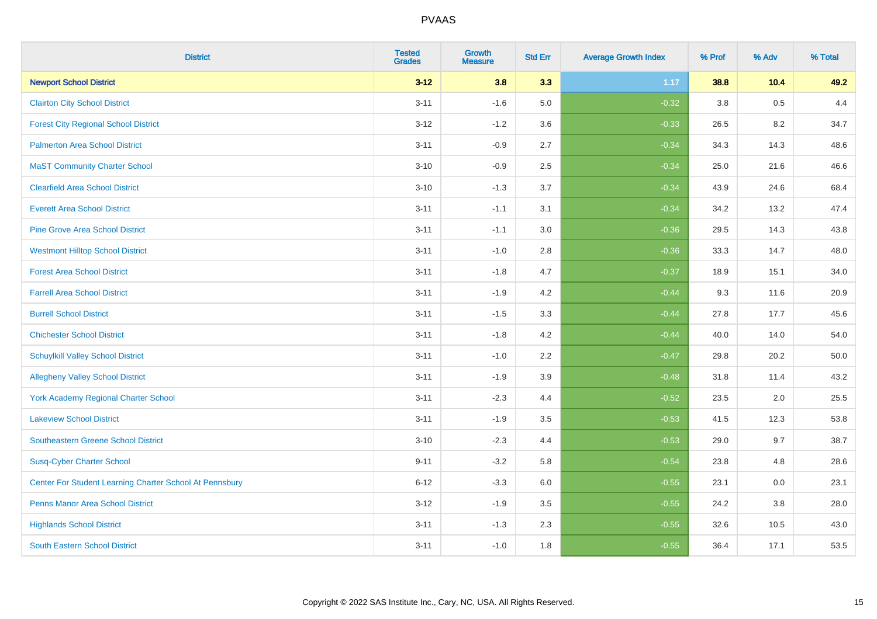| <b>District</b>                                         | <b>Tested</b><br><b>Grades</b> | Growth<br><b>Measure</b> | <b>Std Err</b> | <b>Average Growth Index</b> | % Prof | % Adv | % Total |
|---------------------------------------------------------|--------------------------------|--------------------------|----------------|-----------------------------|--------|-------|---------|
| <b>Newport School District</b>                          | $3 - 12$                       | 3.8                      | 3.3            | 1.17                        | 38.8   | 10.4  | 49.2    |
| <b>Clairton City School District</b>                    | $3 - 11$                       | $-1.6$                   | 5.0            | $-0.32$                     | 3.8    | 0.5   | 4.4     |
| <b>Forest City Regional School District</b>             | $3 - 12$                       | $-1.2$                   | 3.6            | $-0.33$                     | 26.5   | 8.2   | 34.7    |
| <b>Palmerton Area School District</b>                   | $3 - 11$                       | $-0.9$                   | 2.7            | $-0.34$                     | 34.3   | 14.3  | 48.6    |
| <b>MaST Community Charter School</b>                    | $3 - 10$                       | $-0.9$                   | 2.5            | $-0.34$                     | 25.0   | 21.6  | 46.6    |
| <b>Clearfield Area School District</b>                  | $3 - 10$                       | $-1.3$                   | 3.7            | $-0.34$                     | 43.9   | 24.6  | 68.4    |
| <b>Everett Area School District</b>                     | $3 - 11$                       | $-1.1$                   | 3.1            | $-0.34$                     | 34.2   | 13.2  | 47.4    |
| <b>Pine Grove Area School District</b>                  | $3 - 11$                       | $-1.1$                   | 3.0            | $-0.36$                     | 29.5   | 14.3  | 43.8    |
| <b>Westmont Hilltop School District</b>                 | $3 - 11$                       | $-1.0$                   | 2.8            | $-0.36$                     | 33.3   | 14.7  | 48.0    |
| <b>Forest Area School District</b>                      | $3 - 11$                       | $-1.8$                   | 4.7            | $-0.37$                     | 18.9   | 15.1  | 34.0    |
| <b>Farrell Area School District</b>                     | $3 - 11$                       | $-1.9$                   | 4.2            | $-0.44$                     | 9.3    | 11.6  | 20.9    |
| <b>Burrell School District</b>                          | $3 - 11$                       | $-1.5$                   | 3.3            | $-0.44$                     | 27.8   | 17.7  | 45.6    |
| <b>Chichester School District</b>                       | $3 - 11$                       | $-1.8$                   | 4.2            | $-0.44$                     | 40.0   | 14.0  | 54.0    |
| <b>Schuylkill Valley School District</b>                | $3 - 11$                       | $-1.0$                   | 2.2            | $-0.47$                     | 29.8   | 20.2  | 50.0    |
| <b>Allegheny Valley School District</b>                 | $3 - 11$                       | $-1.9$                   | 3.9            | $-0.48$                     | 31.8   | 11.4  | 43.2    |
| <b>York Academy Regional Charter School</b>             | $3 - 11$                       | $-2.3$                   | 4.4            | $-0.52$                     | 23.5   | 2.0   | 25.5    |
| <b>Lakeview School District</b>                         | $3 - 11$                       | $-1.9$                   | 3.5            | $-0.53$                     | 41.5   | 12.3  | 53.8    |
| Southeastern Greene School District                     | $3 - 10$                       | $-2.3$                   | 4.4            | $-0.53$                     | 29.0   | 9.7   | 38.7    |
| <b>Susq-Cyber Charter School</b>                        | $9 - 11$                       | $-3.2$                   | 5.8            | $-0.54$                     | 23.8   | 4.8   | 28.6    |
| Center For Student Learning Charter School At Pennsbury | $6 - 12$                       | $-3.3$                   | 6.0            | $-0.55$                     | 23.1   | 0.0   | 23.1    |
| <b>Penns Manor Area School District</b>                 | $3 - 12$                       | $-1.9$                   | 3.5            | $-0.55$                     | 24.2   | 3.8   | 28.0    |
| <b>Highlands School District</b>                        | $3 - 11$                       | $-1.3$                   | 2.3            | $-0.55$                     | 32.6   | 10.5  | 43.0    |
| <b>South Eastern School District</b>                    | $3 - 11$                       | $-1.0$                   | 1.8            | $-0.55$                     | 36.4   | 17.1  | 53.5    |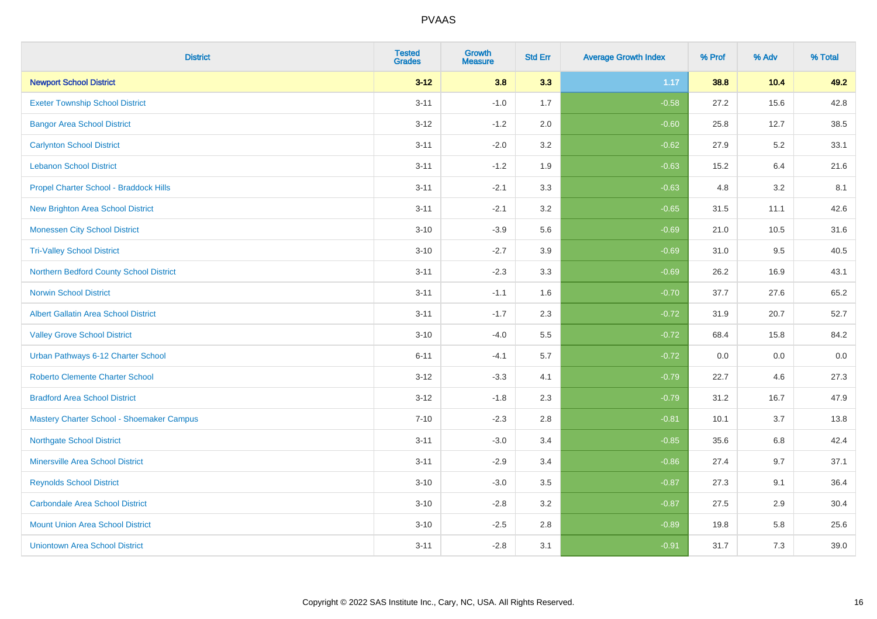| <b>District</b>                             | <b>Tested</b><br><b>Grades</b> | <b>Growth</b><br><b>Measure</b> | <b>Std Err</b> | <b>Average Growth Index</b> | % Prof | % Adv   | % Total |
|---------------------------------------------|--------------------------------|---------------------------------|----------------|-----------------------------|--------|---------|---------|
| <b>Newport School District</b>              | $3 - 12$                       | 3.8                             | 3.3            | 1.17                        | 38.8   | $10.4$  | 49.2    |
| <b>Exeter Township School District</b>      | $3 - 11$                       | $-1.0$                          | 1.7            | $-0.58$                     | 27.2   | 15.6    | 42.8    |
| <b>Bangor Area School District</b>          | $3 - 12$                       | $-1.2$                          | 2.0            | $-0.60$                     | 25.8   | 12.7    | 38.5    |
| <b>Carlynton School District</b>            | $3 - 11$                       | $-2.0$                          | 3.2            | $-0.62$                     | 27.9   | $5.2\,$ | 33.1    |
| <b>Lebanon School District</b>              | $3 - 11$                       | $-1.2$                          | 1.9            | $-0.63$                     | 15.2   | 6.4     | 21.6    |
| Propel Charter School - Braddock Hills      | $3 - 11$                       | $-2.1$                          | 3.3            | $-0.63$                     | 4.8    | 3.2     | 8.1     |
| New Brighton Area School District           | $3 - 11$                       | $-2.1$                          | 3.2            | $-0.65$                     | 31.5   | 11.1    | 42.6    |
| <b>Monessen City School District</b>        | $3 - 10$                       | $-3.9$                          | 5.6            | $-0.69$                     | 21.0   | 10.5    | 31.6    |
| <b>Tri-Valley School District</b>           | $3 - 10$                       | $-2.7$                          | 3.9            | $-0.69$                     | 31.0   | 9.5     | 40.5    |
| Northern Bedford County School District     | $3 - 11$                       | $-2.3$                          | 3.3            | $-0.69$                     | 26.2   | 16.9    | 43.1    |
| <b>Norwin School District</b>               | $3 - 11$                       | $-1.1$                          | 1.6            | $-0.70$                     | 37.7   | 27.6    | 65.2    |
| <b>Albert Gallatin Area School District</b> | $3 - 11$                       | $-1.7$                          | 2.3            | $-0.72$                     | 31.9   | 20.7    | 52.7    |
| <b>Valley Grove School District</b>         | $3 - 10$                       | $-4.0$                          | 5.5            | $-0.72$                     | 68.4   | 15.8    | 84.2    |
| Urban Pathways 6-12 Charter School          | $6 - 11$                       | $-4.1$                          | 5.7            | $-0.72$                     | 0.0    | 0.0     | 0.0     |
| <b>Roberto Clemente Charter School</b>      | $3 - 12$                       | $-3.3$                          | 4.1            | $-0.79$                     | 22.7   | 4.6     | 27.3    |
| <b>Bradford Area School District</b>        | $3 - 12$                       | $-1.8$                          | 2.3            | $-0.79$                     | 31.2   | 16.7    | 47.9    |
| Mastery Charter School - Shoemaker Campus   | $7 - 10$                       | $-2.3$                          | 2.8            | $-0.81$                     | 10.1   | 3.7     | 13.8    |
| <b>Northgate School District</b>            | $3 - 11$                       | $-3.0$                          | 3.4            | $-0.85$                     | 35.6   | 6.8     | 42.4    |
| <b>Minersville Area School District</b>     | $3 - 11$                       | $-2.9$                          | 3.4            | $-0.86$                     | 27.4   | 9.7     | 37.1    |
| <b>Reynolds School District</b>             | $3 - 10$                       | $-3.0$                          | 3.5            | $-0.87$                     | 27.3   | 9.1     | 36.4    |
| <b>Carbondale Area School District</b>      | $3 - 10$                       | $-2.8$                          | 3.2            | $-0.87$                     | 27.5   | 2.9     | 30.4    |
| <b>Mount Union Area School District</b>     | $3 - 10$                       | $-2.5$                          | 2.8            | $-0.89$                     | 19.8   | 5.8     | 25.6    |
| <b>Uniontown Area School District</b>       | $3 - 11$                       | $-2.8$                          | 3.1            | $-0.91$                     | 31.7   | 7.3     | 39.0    |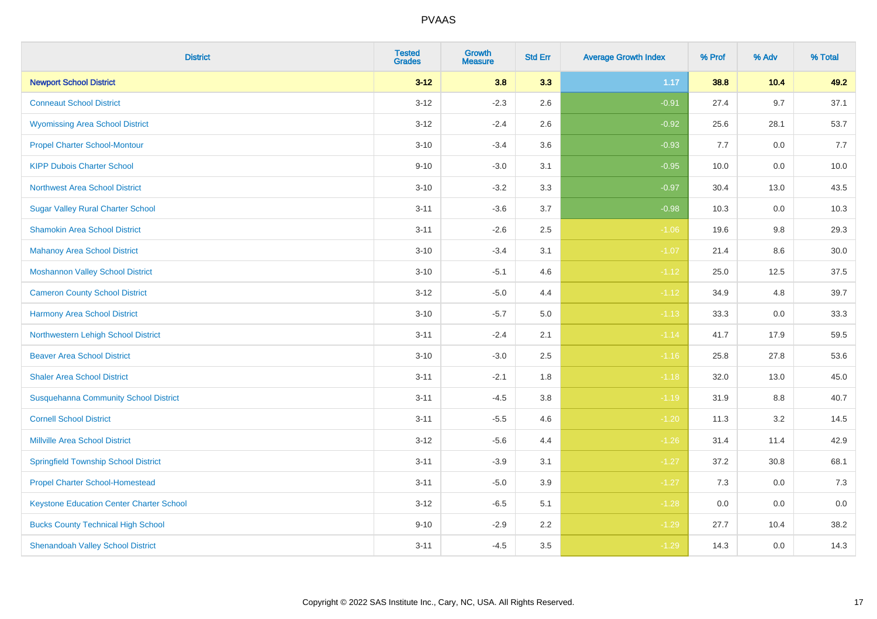| <b>District</b>                                 | <b>Tested</b><br><b>Grades</b> | <b>Growth</b><br><b>Measure</b> | <b>Std Err</b> | <b>Average Growth Index</b> | % Prof | % Adv   | % Total |
|-------------------------------------------------|--------------------------------|---------------------------------|----------------|-----------------------------|--------|---------|---------|
| <b>Newport School District</b>                  | $3 - 12$                       | 3.8                             | 3.3            | 1.17                        | 38.8   | 10.4    | 49.2    |
| <b>Conneaut School District</b>                 | $3 - 12$                       | $-2.3$                          | 2.6            | $-0.91$                     | 27.4   | 9.7     | 37.1    |
| <b>Wyomissing Area School District</b>          | $3 - 12$                       | $-2.4$                          | 2.6            | $-0.92$                     | 25.6   | 28.1    | 53.7    |
| <b>Propel Charter School-Montour</b>            | $3 - 10$                       | $-3.4$                          | 3.6            | $-0.93$                     | 7.7    | $0.0\,$ | 7.7     |
| <b>KIPP Dubois Charter School</b>               | $9 - 10$                       | $-3.0$                          | 3.1            | $-0.95$                     | 10.0   | 0.0     | 10.0    |
| <b>Northwest Area School District</b>           | $3 - 10$                       | $-3.2$                          | 3.3            | $-0.97$                     | 30.4   | 13.0    | 43.5    |
| <b>Sugar Valley Rural Charter School</b>        | $3 - 11$                       | $-3.6$                          | 3.7            | $-0.98$                     | 10.3   | 0.0     | 10.3    |
| <b>Shamokin Area School District</b>            | $3 - 11$                       | $-2.6$                          | 2.5            | $-1.06$                     | 19.6   | 9.8     | 29.3    |
| <b>Mahanoy Area School District</b>             | $3 - 10$                       | $-3.4$                          | 3.1            | $-1.07$                     | 21.4   | 8.6     | 30.0    |
| <b>Moshannon Valley School District</b>         | $3 - 10$                       | $-5.1$                          | 4.6            | $-1.12$                     | 25.0   | 12.5    | 37.5    |
| <b>Cameron County School District</b>           | $3-12$                         | $-5.0$                          | 4.4            | $-1.12$                     | 34.9   | 4.8     | 39.7    |
| <b>Harmony Area School District</b>             | $3 - 10$                       | $-5.7$                          | $5.0\,$        | $-1.13$                     | 33.3   | 0.0     | 33.3    |
| Northwestern Lehigh School District             | $3 - 11$                       | $-2.4$                          | 2.1            | $-1.14$                     | 41.7   | 17.9    | 59.5    |
| <b>Beaver Area School District</b>              | $3 - 10$                       | $-3.0$                          | 2.5            | $-1.16$                     | 25.8   | 27.8    | 53.6    |
| <b>Shaler Area School District</b>              | $3 - 11$                       | $-2.1$                          | 1.8            | $-1.18$                     | 32.0   | 13.0    | 45.0    |
| <b>Susquehanna Community School District</b>    | $3 - 11$                       | $-4.5$                          | 3.8            | $-1.19$                     | 31.9   | $8.8\,$ | 40.7    |
| <b>Cornell School District</b>                  | $3 - 11$                       | $-5.5$                          | 4.6            | $-1.20$                     | 11.3   | $3.2\,$ | 14.5    |
| <b>Millville Area School District</b>           | $3-12$                         | $-5.6$                          | 4.4            | $-1.26$                     | 31.4   | 11.4    | 42.9    |
| <b>Springfield Township School District</b>     | $3 - 11$                       | $-3.9$                          | 3.1            | $-1.27$                     | 37.2   | 30.8    | 68.1    |
| <b>Propel Charter School-Homestead</b>          | $3 - 11$                       | $-5.0$                          | 3.9            | $-1.27$                     | 7.3    | 0.0     | 7.3     |
| <b>Keystone Education Center Charter School</b> | $3 - 12$                       | $-6.5$                          | 5.1            | $-1.28$                     | 0.0    | 0.0     | 0.0     |
| <b>Bucks County Technical High School</b>       | $9 - 10$                       | $-2.9$                          | 2.2            | $-1.29$                     | 27.7   | 10.4    | 38.2    |
| <b>Shenandoah Valley School District</b>        | $3 - 11$                       | $-4.5$                          | 3.5            | $-1.29$                     | 14.3   | 0.0     | 14.3    |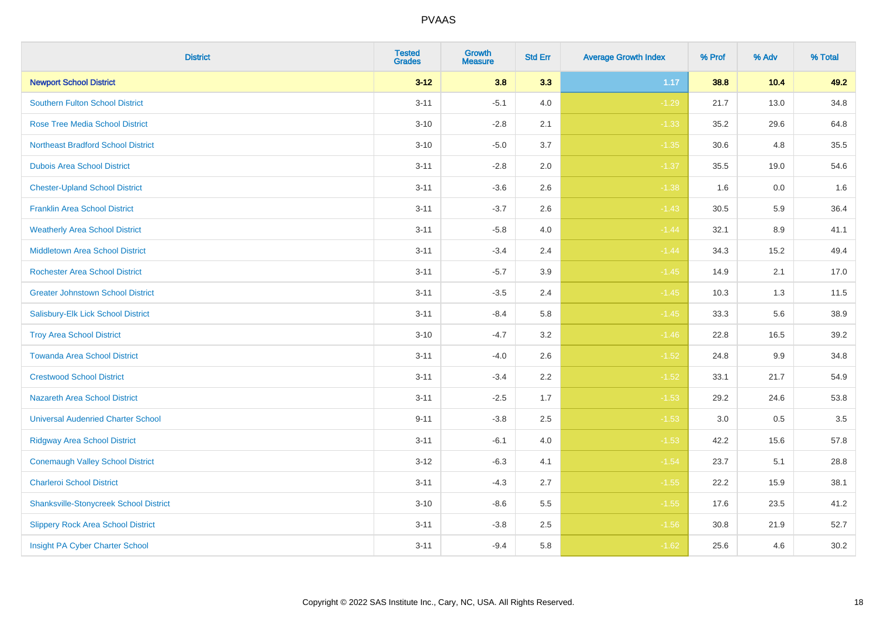| <b>District</b>                               | <b>Tested</b><br><b>Grades</b> | Growth<br><b>Measure</b> | <b>Std Err</b> | <b>Average Growth Index</b> | % Prof | % Adv | % Total |
|-----------------------------------------------|--------------------------------|--------------------------|----------------|-----------------------------|--------|-------|---------|
| <b>Newport School District</b>                | $3 - 12$                       | 3.8                      | 3.3            | 1.17                        | 38.8   | 10.4  | 49.2    |
| <b>Southern Fulton School District</b>        | $3 - 11$                       | $-5.1$                   | 4.0            | $-1.29$                     | 21.7   | 13.0  | 34.8    |
| <b>Rose Tree Media School District</b>        | $3 - 10$                       | $-2.8$                   | 2.1            | $-1.33$                     | 35.2   | 29.6  | 64.8    |
| <b>Northeast Bradford School District</b>     | $3 - 10$                       | $-5.0$                   | 3.7            | $-1.35$                     | 30.6   | 4.8   | 35.5    |
| <b>Dubois Area School District</b>            | $3 - 11$                       | $-2.8$                   | 2.0            | $-1.37$                     | 35.5   | 19.0  | 54.6    |
| <b>Chester-Upland School District</b>         | $3 - 11$                       | $-3.6$                   | 2.6            | $-1.38$                     | 1.6    | 0.0   | 1.6     |
| <b>Franklin Area School District</b>          | $3 - 11$                       | $-3.7$                   | 2.6            | $-1.43$                     | 30.5   | 5.9   | 36.4    |
| <b>Weatherly Area School District</b>         | $3 - 11$                       | $-5.8$                   | 4.0            | $-1.44$                     | 32.1   | 8.9   | 41.1    |
| <b>Middletown Area School District</b>        | $3 - 11$                       | $-3.4$                   | 2.4            | $-1.44$                     | 34.3   | 15.2  | 49.4    |
| <b>Rochester Area School District</b>         | $3 - 11$                       | $-5.7$                   | 3.9            | $-1.45$                     | 14.9   | 2.1   | 17.0    |
| <b>Greater Johnstown School District</b>      | $3 - 11$                       | $-3.5$                   | 2.4            | $-1.45$                     | 10.3   | 1.3   | 11.5    |
| Salisbury-Elk Lick School District            | $3 - 11$                       | $-8.4$                   | 5.8            | $-1.45$                     | 33.3   | 5.6   | 38.9    |
| <b>Troy Area School District</b>              | $3 - 10$                       | $-4.7$                   | $3.2\,$        | $-1.46$                     | 22.8   | 16.5  | 39.2    |
| <b>Towanda Area School District</b>           | $3 - 11$                       | $-4.0$                   | 2.6            | $-1.52$                     | 24.8   | 9.9   | 34.8    |
| <b>Crestwood School District</b>              | $3 - 11$                       | $-3.4$                   | 2.2            | $-1.52$                     | 33.1   | 21.7  | 54.9    |
| <b>Nazareth Area School District</b>          | $3 - 11$                       | $-2.5$                   | 1.7            | $-1.53$                     | 29.2   | 24.6  | 53.8    |
| <b>Universal Audenried Charter School</b>     | $9 - 11$                       | $-3.8$                   | 2.5            | $-1.53$                     | 3.0    | 0.5   | 3.5     |
| <b>Ridgway Area School District</b>           | $3 - 11$                       | $-6.1$                   | 4.0            | $-1.53$                     | 42.2   | 15.6  | 57.8    |
| <b>Conemaugh Valley School District</b>       | $3 - 12$                       | $-6.3$                   | 4.1            | $-1.54$                     | 23.7   | 5.1   | 28.8    |
| <b>Charleroi School District</b>              | $3 - 11$                       | $-4.3$                   | 2.7            | $-1.55$                     | 22.2   | 15.9  | 38.1    |
| <b>Shanksville-Stonycreek School District</b> | $3 - 10$                       | $-8.6$                   | 5.5            | $-1.55$                     | 17.6   | 23.5  | 41.2    |
| <b>Slippery Rock Area School District</b>     | $3 - 11$                       | $-3.8$                   | 2.5            | $-1.56$                     | 30.8   | 21.9  | 52.7    |
| Insight PA Cyber Charter School               | $3 - 11$                       | $-9.4$                   | 5.8            | $-1.62$                     | 25.6   | 4.6   | 30.2    |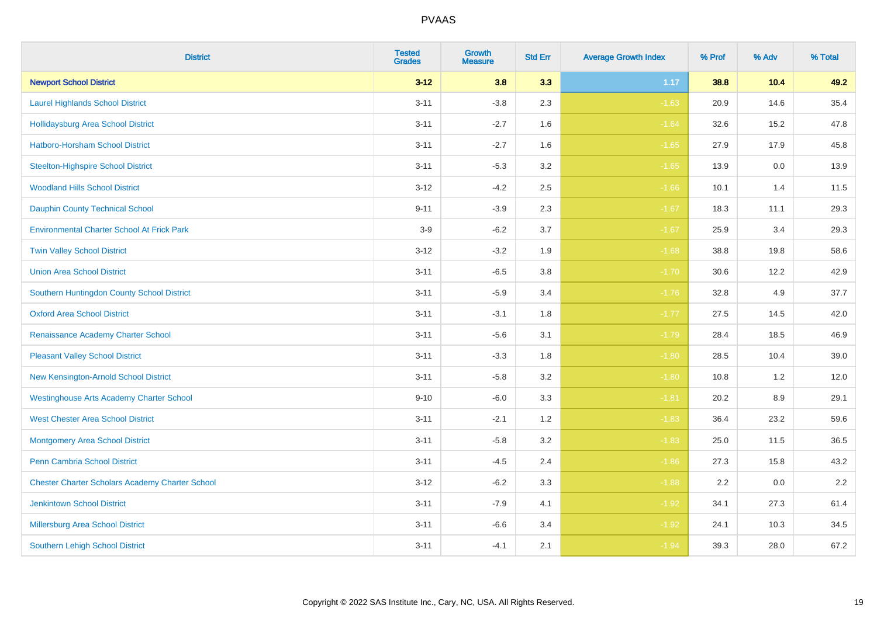| <b>District</b>                                        | <b>Tested</b><br><b>Grades</b> | <b>Growth</b><br><b>Measure</b> | <b>Std Err</b> | <b>Average Growth Index</b> | % Prof | % Adv   | % Total |
|--------------------------------------------------------|--------------------------------|---------------------------------|----------------|-----------------------------|--------|---------|---------|
| <b>Newport School District</b>                         | $3 - 12$                       | 3.8                             | 3.3            | 1.17                        | 38.8   | 10.4    | 49.2    |
| <b>Laurel Highlands School District</b>                | $3 - 11$                       | $-3.8$                          | 2.3            | $-1.63$                     | 20.9   | 14.6    | 35.4    |
| <b>Hollidaysburg Area School District</b>              | $3 - 11$                       | $-2.7$                          | 1.6            | $-1.64$                     | 32.6   | 15.2    | 47.8    |
| <b>Hatboro-Horsham School District</b>                 | $3 - 11$                       | $-2.7$                          | 1.6            | $-1.65$                     | 27.9   | 17.9    | 45.8    |
| <b>Steelton-Highspire School District</b>              | $3 - 11$                       | $-5.3$                          | 3.2            | $-1.65$                     | 13.9   | 0.0     | 13.9    |
| <b>Woodland Hills School District</b>                  | $3 - 12$                       | $-4.2$                          | 2.5            | $-1.66$                     | 10.1   | 1.4     | 11.5    |
| <b>Dauphin County Technical School</b>                 | $9 - 11$                       | $-3.9$                          | 2.3            | $-1.67$                     | 18.3   | 11.1    | 29.3    |
| <b>Environmental Charter School At Frick Park</b>      | $3-9$                          | $-6.2$                          | 3.7            | $-1.67$                     | 25.9   | 3.4     | 29.3    |
| <b>Twin Valley School District</b>                     | $3 - 12$                       | $-3.2$                          | 1.9            | $-1.68$                     | 38.8   | 19.8    | 58.6    |
| <b>Union Area School District</b>                      | $3 - 11$                       | $-6.5$                          | $3.8\,$        | $-1.70$                     | 30.6   | 12.2    | 42.9    |
| Southern Huntingdon County School District             | $3 - 11$                       | $-5.9$                          | 3.4            | $-1.76$                     | 32.8   | 4.9     | 37.7    |
| <b>Oxford Area School District</b>                     | $3 - 11$                       | $-3.1$                          | 1.8            | $-1.77$                     | 27.5   | 14.5    | 42.0    |
| Renaissance Academy Charter School                     | $3 - 11$                       | $-5.6$                          | 3.1            | $-1.79$                     | 28.4   | 18.5    | 46.9    |
| <b>Pleasant Valley School District</b>                 | $3 - 11$                       | $-3.3$                          | 1.8            | $-1.80$                     | 28.5   | 10.4    | 39.0    |
| New Kensington-Arnold School District                  | $3 - 11$                       | $-5.8$                          | 3.2            | $-1.80$                     | 10.8   | 1.2     | 12.0    |
| <b>Westinghouse Arts Academy Charter School</b>        | $9 - 10$                       | $-6.0$                          | 3.3            | $-1.81$                     | 20.2   | $8.9\,$ | 29.1    |
| <b>West Chester Area School District</b>               | $3 - 11$                       | $-2.1$                          | 1.2            | $-1.83$                     | 36.4   | 23.2    | 59.6    |
| <b>Montgomery Area School District</b>                 | $3 - 11$                       | $-5.8$                          | 3.2            | $-1.83$                     | 25.0   | 11.5    | 36.5    |
| Penn Cambria School District                           | $3 - 11$                       | $-4.5$                          | 2.4            | $-1.86$                     | 27.3   | 15.8    | 43.2    |
| <b>Chester Charter Scholars Academy Charter School</b> | $3 - 12$                       | $-6.2$                          | 3.3            | $-1.88$                     | 2.2    | 0.0     | 2.2     |
| <b>Jenkintown School District</b>                      | $3 - 11$                       | $-7.9$                          | 4.1            | $-1.92$                     | 34.1   | 27.3    | 61.4    |
| Millersburg Area School District                       | $3 - 11$                       | $-6.6$                          | 3.4            | $-1.92$                     | 24.1   | 10.3    | 34.5    |
| <b>Southern Lehigh School District</b>                 | $3 - 11$                       | $-4.1$                          | 2.1            | $-1.94$                     | 39.3   | 28.0    | 67.2    |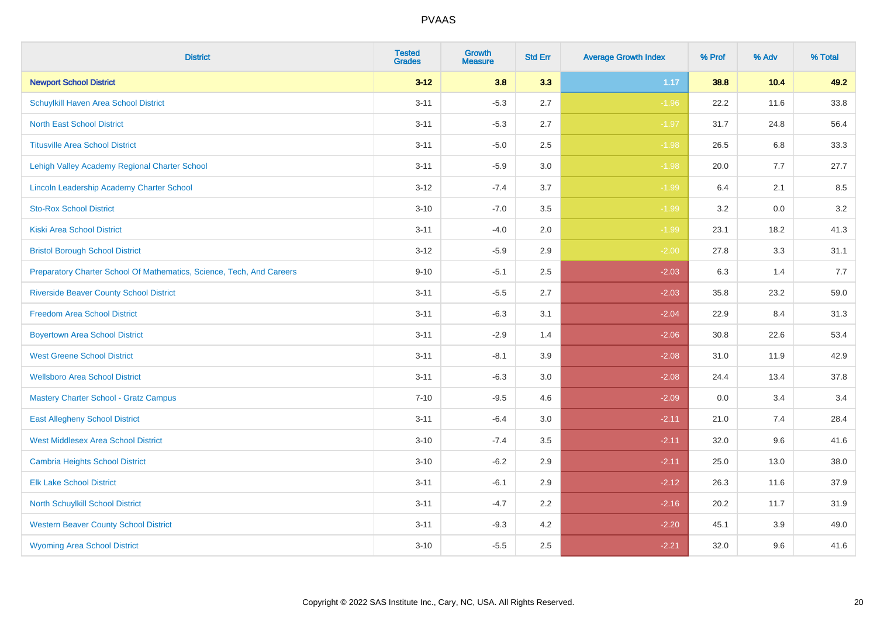| <b>District</b>                                                       | <b>Tested</b><br><b>Grades</b> | <b>Growth</b><br><b>Measure</b> | <b>Std Err</b> | <b>Average Growth Index</b> | % Prof | % Adv   | % Total |
|-----------------------------------------------------------------------|--------------------------------|---------------------------------|----------------|-----------------------------|--------|---------|---------|
| <b>Newport School District</b>                                        | $3 - 12$                       | 3.8                             | 3.3            | 1.17                        | 38.8   | 10.4    | 49.2    |
| Schuylkill Haven Area School District                                 | $3 - 11$                       | $-5.3$                          | 2.7            | $-1.96$                     | 22.2   | 11.6    | 33.8    |
| <b>North East School District</b>                                     | $3 - 11$                       | $-5.3$                          | 2.7            | $-1.97$                     | 31.7   | 24.8    | 56.4    |
| <b>Titusville Area School District</b>                                | $3 - 11$                       | $-5.0$                          | 2.5            | $-1.98$                     | 26.5   | 6.8     | 33.3    |
| Lehigh Valley Academy Regional Charter School                         | $3 - 11$                       | $-5.9$                          | 3.0            | $-1.98$                     | 20.0   | 7.7     | 27.7    |
| Lincoln Leadership Academy Charter School                             | $3 - 12$                       | $-7.4$                          | 3.7            | $-1.99$                     | 6.4    | 2.1     | 8.5     |
| <b>Sto-Rox School District</b>                                        | $3 - 10$                       | $-7.0$                          | 3.5            | $-1.99$                     | 3.2    | $0.0\,$ | 3.2     |
| <b>Kiski Area School District</b>                                     | $3 - 11$                       | $-4.0$                          | 2.0            | $-1.99$                     | 23.1   | 18.2    | 41.3    |
| <b>Bristol Borough School District</b>                                | $3 - 12$                       | $-5.9$                          | 2.9            | $-2.00$                     | 27.8   | 3.3     | 31.1    |
| Preparatory Charter School Of Mathematics, Science, Tech, And Careers | $9 - 10$                       | $-5.1$                          | $2.5\,$        | $-2.03$                     | 6.3    | 1.4     | 7.7     |
| <b>Riverside Beaver County School District</b>                        | $3 - 11$                       | $-5.5$                          | 2.7            | $-2.03$                     | 35.8   | 23.2    | 59.0    |
| <b>Freedom Area School District</b>                                   | $3 - 11$                       | $-6.3$                          | 3.1            | $-2.04$                     | 22.9   | 8.4     | 31.3    |
| <b>Boyertown Area School District</b>                                 | $3 - 11$                       | $-2.9$                          | 1.4            | $-2.06$                     | 30.8   | 22.6    | 53.4    |
| <b>West Greene School District</b>                                    | $3 - 11$                       | $-8.1$                          | 3.9            | $-2.08$                     | 31.0   | 11.9    | 42.9    |
| <b>Wellsboro Area School District</b>                                 | $3 - 11$                       | $-6.3$                          | 3.0            | $-2.08$                     | 24.4   | 13.4    | 37.8    |
| <b>Mastery Charter School - Gratz Campus</b>                          | $7 - 10$                       | $-9.5$                          | 4.6            | $-2.09$                     | 0.0    | 3.4     | 3.4     |
| <b>East Allegheny School District</b>                                 | $3 - 11$                       | $-6.4$                          | 3.0            | $-2.11$                     | 21.0   | 7.4     | 28.4    |
| <b>West Middlesex Area School District</b>                            | $3 - 10$                       | $-7.4$                          | 3.5            | $-2.11$                     | 32.0   | 9.6     | 41.6    |
| <b>Cambria Heights School District</b>                                | $3 - 10$                       | $-6.2$                          | 2.9            | $-2.11$                     | 25.0   | 13.0    | 38.0    |
| <b>Elk Lake School District</b>                                       | $3 - 11$                       | $-6.1$                          | 2.9            | $-2.12$                     | 26.3   | 11.6    | 37.9    |
| North Schuylkill School District                                      | $3 - 11$                       | $-4.7$                          | 2.2            | $-2.16$                     | 20.2   | 11.7    | 31.9    |
| <b>Western Beaver County School District</b>                          | $3 - 11$                       | $-9.3$                          | 4.2            | $-2.20$                     | 45.1   | 3.9     | 49.0    |
| <b>Wyoming Area School District</b>                                   | $3 - 10$                       | $-5.5$                          | 2.5            | $-2.21$                     | 32.0   | 9.6     | 41.6    |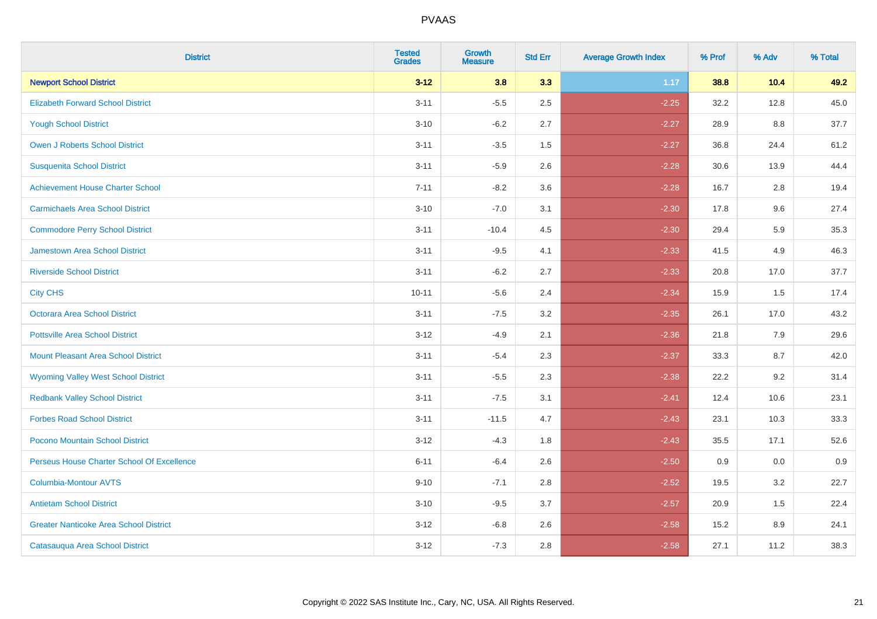| <b>District</b>                               | <b>Tested</b><br><b>Grades</b> | <b>Growth</b><br><b>Measure</b> | <b>Std Err</b> | <b>Average Growth Index</b> | % Prof | % Adv | % Total |
|-----------------------------------------------|--------------------------------|---------------------------------|----------------|-----------------------------|--------|-------|---------|
| <b>Newport School District</b>                | $3 - 12$                       | 3.8                             | 3.3            | 1.17                        | 38.8   | 10.4  | 49.2    |
| <b>Elizabeth Forward School District</b>      | $3 - 11$                       | $-5.5$                          | 2.5            | $-2.25$                     | 32.2   | 12.8  | 45.0    |
| <b>Yough School District</b>                  | $3 - 10$                       | $-6.2$                          | 2.7            | $-2.27$                     | 28.9   | 8.8   | 37.7    |
| <b>Owen J Roberts School District</b>         | $3 - 11$                       | $-3.5$                          | 1.5            | $-2.27$                     | 36.8   | 24.4  | 61.2    |
| <b>Susquenita School District</b>             | $3 - 11$                       | $-5.9$                          | 2.6            | $-2.28$                     | 30.6   | 13.9  | 44.4    |
| <b>Achievement House Charter School</b>       | $7 - 11$                       | $-8.2$                          | 3.6            | $-2.28$                     | 16.7   | 2.8   | 19.4    |
| <b>Carmichaels Area School District</b>       | $3 - 10$                       | $-7.0$                          | 3.1            | $-2.30$                     | 17.8   | 9.6   | 27.4    |
| <b>Commodore Perry School District</b>        | $3 - 11$                       | $-10.4$                         | 4.5            | $-2.30$                     | 29.4   | 5.9   | 35.3    |
| Jamestown Area School District                | $3 - 11$                       | $-9.5$                          | 4.1            | $-2.33$                     | 41.5   | 4.9   | 46.3    |
| <b>Riverside School District</b>              | $3 - 11$                       | $-6.2$                          | 2.7            | $-2.33$                     | 20.8   | 17.0  | 37.7    |
| <b>City CHS</b>                               | $10 - 11$                      | $-5.6$                          | 2.4            | $-2.34$                     | 15.9   | 1.5   | 17.4    |
| Octorara Area School District                 | $3 - 11$                       | $-7.5$                          | 3.2            | $-2.35$                     | 26.1   | 17.0  | 43.2    |
| <b>Pottsville Area School District</b>        | $3 - 12$                       | $-4.9$                          | 2.1            | $-2.36$                     | 21.8   | 7.9   | 29.6    |
| <b>Mount Pleasant Area School District</b>    | $3 - 11$                       | $-5.4$                          | 2.3            | $-2.37$                     | 33.3   | 8.7   | 42.0    |
| <b>Wyoming Valley West School District</b>    | $3 - 11$                       | $-5.5$                          | 2.3            | $-2.38$                     | 22.2   | 9.2   | 31.4    |
| <b>Redbank Valley School District</b>         | $3 - 11$                       | $-7.5$                          | 3.1            | $-2.41$                     | 12.4   | 10.6  | 23.1    |
| <b>Forbes Road School District</b>            | $3 - 11$                       | $-11.5$                         | 4.7            | $-2.43$                     | 23.1   | 10.3  | 33.3    |
| Pocono Mountain School District               | $3 - 12$                       | $-4.3$                          | 1.8            | $-2.43$                     | 35.5   | 17.1  | 52.6    |
| Perseus House Charter School Of Excellence    | $6 - 11$                       | $-6.4$                          | 2.6            | $-2.50$                     | 0.9    | 0.0   | 0.9     |
| <b>Columbia-Montour AVTS</b>                  | $9 - 10$                       | $-7.1$                          | 2.8            | $-2.52$                     | 19.5   | 3.2   | 22.7    |
| <b>Antietam School District</b>               | $3 - 10$                       | $-9.5$                          | 3.7            | $-2.57$                     | 20.9   | 1.5   | 22.4    |
| <b>Greater Nanticoke Area School District</b> | $3 - 12$                       | $-6.8$                          | 2.6            | $-2.58$                     | 15.2   | 8.9   | 24.1    |
| Catasauqua Area School District               | $3 - 12$                       | $-7.3$                          | 2.8            | $-2.58$                     | 27.1   | 11.2  | 38.3    |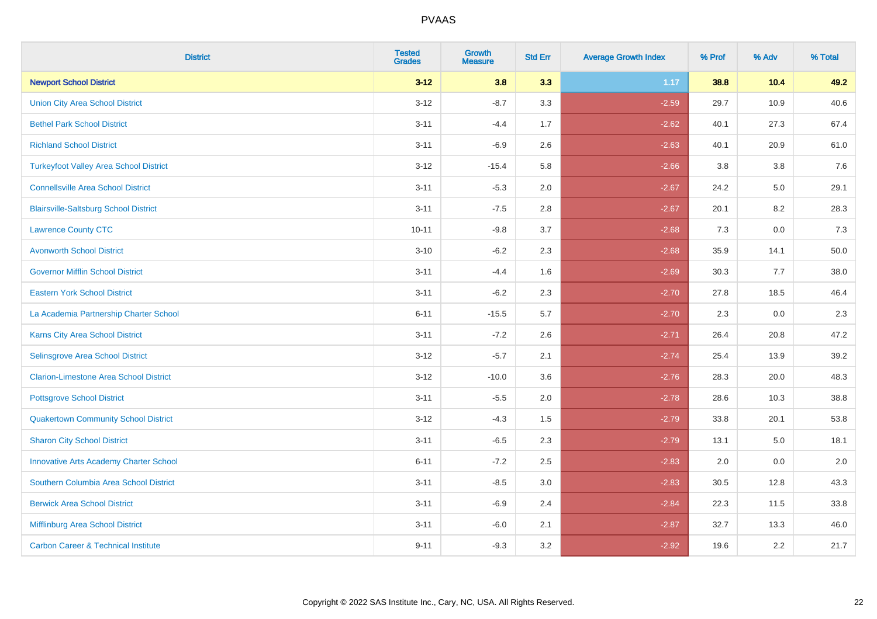| <b>District</b>                                | <b>Tested</b><br><b>Grades</b> | <b>Growth</b><br><b>Measure</b> | <b>Std Err</b> | <b>Average Growth Index</b> | % Prof | % Adv   | % Total |
|------------------------------------------------|--------------------------------|---------------------------------|----------------|-----------------------------|--------|---------|---------|
| <b>Newport School District</b>                 | $3 - 12$                       | 3.8                             | 3.3            | 1.17                        | 38.8   | 10.4    | 49.2    |
| <b>Union City Area School District</b>         | $3 - 12$                       | $-8.7$                          | 3.3            | $-2.59$                     | 29.7   | 10.9    | 40.6    |
| <b>Bethel Park School District</b>             | $3 - 11$                       | $-4.4$                          | 1.7            | $-2.62$                     | 40.1   | 27.3    | 67.4    |
| <b>Richland School District</b>                | $3 - 11$                       | $-6.9$                          | 2.6            | $-2.63$                     | 40.1   | 20.9    | 61.0    |
| <b>Turkeyfoot Valley Area School District</b>  | $3 - 12$                       | $-15.4$                         | 5.8            | $-2.66$                     | 3.8    | 3.8     | 7.6     |
| <b>Connellsville Area School District</b>      | $3 - 11$                       | $-5.3$                          | 2.0            | $-2.67$                     | 24.2   | $5.0\,$ | 29.1    |
| <b>Blairsville-Saltsburg School District</b>   | $3 - 11$                       | $-7.5$                          | 2.8            | $-2.67$                     | 20.1   | 8.2     | 28.3    |
| <b>Lawrence County CTC</b>                     | $10 - 11$                      | $-9.8$                          | 3.7            | $-2.68$                     | 7.3    | 0.0     | 7.3     |
| <b>Avonworth School District</b>               | $3 - 10$                       | $-6.2$                          | 2.3            | $-2.68$                     | 35.9   | 14.1    | 50.0    |
| <b>Governor Mifflin School District</b>        | $3 - 11$                       | $-4.4$                          | 1.6            | $-2.69$                     | 30.3   | 7.7     | 38.0    |
| <b>Eastern York School District</b>            | $3 - 11$                       | $-6.2$                          | 2.3            | $-2.70$                     | 27.8   | 18.5    | 46.4    |
| La Academia Partnership Charter School         | $6 - 11$                       | $-15.5$                         | 5.7            | $-2.70$                     | 2.3    | 0.0     | 2.3     |
| <b>Karns City Area School District</b>         | $3 - 11$                       | $-7.2$                          | 2.6            | $-2.71$                     | 26.4   | 20.8    | 47.2    |
| Selinsgrove Area School District               | $3 - 12$                       | $-5.7$                          | 2.1            | $-2.74$                     | 25.4   | 13.9    | 39.2    |
| <b>Clarion-Limestone Area School District</b>  | $3 - 12$                       | $-10.0$                         | 3.6            | $-2.76$                     | 28.3   | 20.0    | 48.3    |
| <b>Pottsgrove School District</b>              | $3 - 11$                       | $-5.5$                          | 2.0            | $-2.78$                     | 28.6   | 10.3    | 38.8    |
| <b>Quakertown Community School District</b>    | $3 - 12$                       | $-4.3$                          | 1.5            | $-2.79$                     | 33.8   | 20.1    | 53.8    |
| <b>Sharon City School District</b>             | $3 - 11$                       | $-6.5$                          | 2.3            | $-2.79$                     | 13.1   | 5.0     | 18.1    |
| <b>Innovative Arts Academy Charter School</b>  | $6 - 11$                       | $-7.2$                          | 2.5            | $-2.83$                     | 2.0    | 0.0     | 2.0     |
| Southern Columbia Area School District         | $3 - 11$                       | $-8.5$                          | 3.0            | $-2.83$                     | 30.5   | 12.8    | 43.3    |
| <b>Berwick Area School District</b>            | $3 - 11$                       | $-6.9$                          | 2.4            | $-2.84$                     | 22.3   | 11.5    | 33.8    |
| Mifflinburg Area School District               | $3 - 11$                       | $-6.0$                          | 2.1            | $-2.87$                     | 32.7   | 13.3    | 46.0    |
| <b>Carbon Career &amp; Technical Institute</b> | $9 - 11$                       | $-9.3$                          | 3.2            | $-2.92$                     | 19.6   | 2.2     | 21.7    |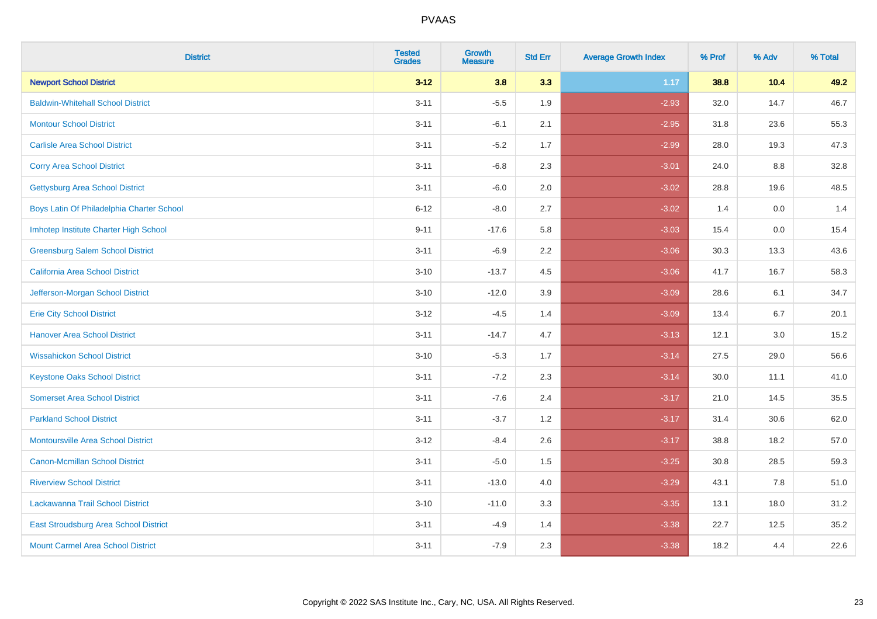| <b>District</b>                           | <b>Tested</b><br><b>Grades</b> | <b>Growth</b><br><b>Measure</b> | <b>Std Err</b> | <b>Average Growth Index</b> | % Prof | % Adv | % Total |
|-------------------------------------------|--------------------------------|---------------------------------|----------------|-----------------------------|--------|-------|---------|
| <b>Newport School District</b>            | $3 - 12$                       | 3.8                             | 3.3            | 1.17                        | 38.8   | 10.4  | 49.2    |
| <b>Baldwin-Whitehall School District</b>  | $3 - 11$                       | $-5.5$                          | 1.9            | $-2.93$                     | 32.0   | 14.7  | 46.7    |
| <b>Montour School District</b>            | $3 - 11$                       | $-6.1$                          | 2.1            | $-2.95$                     | 31.8   | 23.6  | 55.3    |
| <b>Carlisle Area School District</b>      | $3 - 11$                       | $-5.2$                          | 1.7            | $-2.99$                     | 28.0   | 19.3  | 47.3    |
| <b>Corry Area School District</b>         | $3 - 11$                       | $-6.8$                          | 2.3            | $-3.01$                     | 24.0   | 8.8   | 32.8    |
| <b>Gettysburg Area School District</b>    | $3 - 11$                       | $-6.0$                          | 2.0            | $-3.02$                     | 28.8   | 19.6  | 48.5    |
| Boys Latin Of Philadelphia Charter School | $6 - 12$                       | $-8.0$                          | 2.7            | $-3.02$                     | 1.4    | 0.0   | 1.4     |
| Imhotep Institute Charter High School     | $9 - 11$                       | $-17.6$                         | 5.8            | $-3.03$                     | 15.4   | 0.0   | 15.4    |
| <b>Greensburg Salem School District</b>   | $3 - 11$                       | $-6.9$                          | 2.2            | $-3.06$                     | 30.3   | 13.3  | 43.6    |
| California Area School District           | $3 - 10$                       | $-13.7$                         | 4.5            | $-3.06$                     | 41.7   | 16.7  | 58.3    |
| Jefferson-Morgan School District          | $3 - 10$                       | $-12.0$                         | 3.9            | $-3.09$                     | 28.6   | 6.1   | 34.7    |
| <b>Erie City School District</b>          | $3 - 12$                       | $-4.5$                          | 1.4            | $-3.09$                     | 13.4   | 6.7   | 20.1    |
| <b>Hanover Area School District</b>       | $3 - 11$                       | $-14.7$                         | 4.7            | $-3.13$                     | 12.1   | 3.0   | 15.2    |
| <b>Wissahickon School District</b>        | $3 - 10$                       | $-5.3$                          | 1.7            | $-3.14$                     | 27.5   | 29.0  | 56.6    |
| <b>Keystone Oaks School District</b>      | $3 - 11$                       | $-7.2$                          | 2.3            | $-3.14$                     | 30.0   | 11.1  | 41.0    |
| <b>Somerset Area School District</b>      | $3 - 11$                       | $-7.6$                          | 2.4            | $-3.17$                     | 21.0   | 14.5  | 35.5    |
| <b>Parkland School District</b>           | $3 - 11$                       | $-3.7$                          | 1.2            | $-3.17$                     | 31.4   | 30.6  | 62.0    |
| <b>Montoursville Area School District</b> | $3 - 12$                       | $-8.4$                          | 2.6            | $-3.17$                     | 38.8   | 18.2  | 57.0    |
| <b>Canon-Mcmillan School District</b>     | $3 - 11$                       | $-5.0$                          | 1.5            | $-3.25$                     | 30.8   | 28.5  | 59.3    |
| <b>Riverview School District</b>          | $3 - 11$                       | $-13.0$                         | 4.0            | $-3.29$                     | 43.1   | 7.8   | 51.0    |
| Lackawanna Trail School District          | $3 - 10$                       | $-11.0$                         | 3.3            | $-3.35$                     | 13.1   | 18.0  | 31.2    |
| East Stroudsburg Area School District     | $3 - 11$                       | $-4.9$                          | 1.4            | $-3.38$                     | 22.7   | 12.5  | 35.2    |
| <b>Mount Carmel Area School District</b>  | $3 - 11$                       | $-7.9$                          | 2.3            | $-3.38$                     | 18.2   | 4.4   | 22.6    |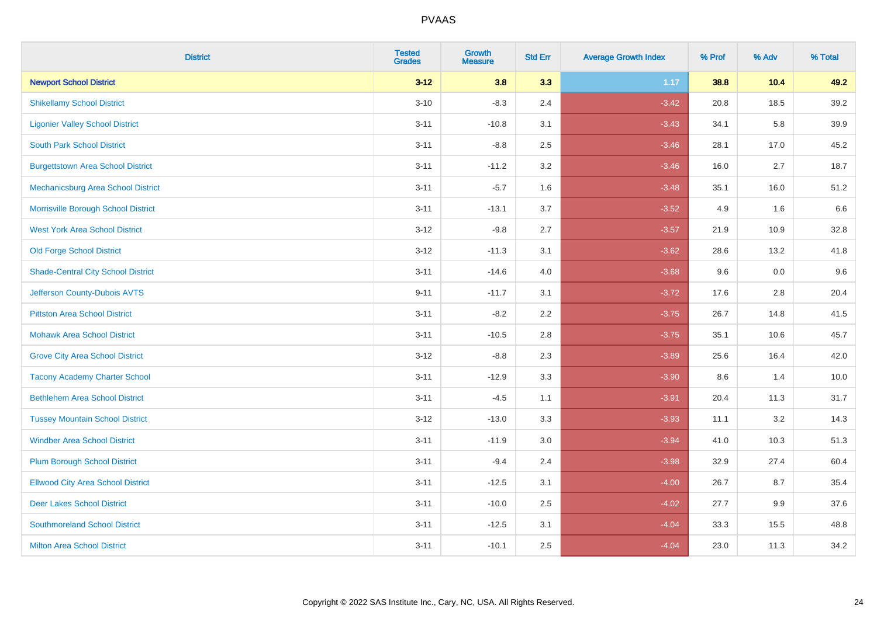| <b>District</b>                           | <b>Tested</b><br><b>Grades</b> | <b>Growth</b><br><b>Measure</b> | <b>Std Err</b> | <b>Average Growth Index</b> | % Prof | % Adv | % Total |
|-------------------------------------------|--------------------------------|---------------------------------|----------------|-----------------------------|--------|-------|---------|
| <b>Newport School District</b>            | $3 - 12$                       | 3.8                             | 3.3            | 1.17                        | 38.8   | 10.4  | 49.2    |
| <b>Shikellamy School District</b>         | $3 - 10$                       | $-8.3$                          | 2.4            | $-3.42$                     | 20.8   | 18.5  | 39.2    |
| <b>Ligonier Valley School District</b>    | $3 - 11$                       | $-10.8$                         | 3.1            | $-3.43$                     | 34.1   | 5.8   | 39.9    |
| <b>South Park School District</b>         | $3 - 11$                       | $-8.8$                          | 2.5            | $-3.46$                     | 28.1   | 17.0  | 45.2    |
| <b>Burgettstown Area School District</b>  | $3 - 11$                       | $-11.2$                         | 3.2            | $-3.46$                     | 16.0   | 2.7   | 18.7    |
| Mechanicsburg Area School District        | $3 - 11$                       | $-5.7$                          | 1.6            | $-3.48$                     | 35.1   | 16.0  | 51.2    |
| Morrisville Borough School District       | $3 - 11$                       | $-13.1$                         | 3.7            | $-3.52$                     | 4.9    | 1.6   | 6.6     |
| <b>West York Area School District</b>     | $3 - 12$                       | $-9.8$                          | 2.7            | $-3.57$                     | 21.9   | 10.9  | 32.8    |
| <b>Old Forge School District</b>          | $3 - 12$                       | $-11.3$                         | 3.1            | $-3.62$                     | 28.6   | 13.2  | 41.8    |
| <b>Shade-Central City School District</b> | $3 - 11$                       | $-14.6$                         | 4.0            | $-3.68$                     | 9.6    | 0.0   | 9.6     |
| Jefferson County-Dubois AVTS              | $9 - 11$                       | $-11.7$                         | 3.1            | $-3.72$                     | 17.6   | 2.8   | 20.4    |
| <b>Pittston Area School District</b>      | $3 - 11$                       | $-8.2$                          | 2.2            | $-3.75$                     | 26.7   | 14.8  | 41.5    |
| <b>Mohawk Area School District</b>        | $3 - 11$                       | $-10.5$                         | 2.8            | $-3.75$                     | 35.1   | 10.6  | 45.7    |
| <b>Grove City Area School District</b>    | $3 - 12$                       | $-8.8$                          | 2.3            | $-3.89$                     | 25.6   | 16.4  | 42.0    |
| <b>Tacony Academy Charter School</b>      | $3 - 11$                       | $-12.9$                         | 3.3            | $-3.90$                     | 8.6    | 1.4   | 10.0    |
| <b>Bethlehem Area School District</b>     | $3 - 11$                       | $-4.5$                          | 1.1            | $-3.91$                     | 20.4   | 11.3  | 31.7    |
| <b>Tussey Mountain School District</b>    | $3 - 12$                       | $-13.0$                         | 3.3            | $-3.93$                     | 11.1   | 3.2   | 14.3    |
| <b>Windber Area School District</b>       | $3 - 11$                       | $-11.9$                         | 3.0            | $-3.94$                     | 41.0   | 10.3  | 51.3    |
| <b>Plum Borough School District</b>       | $3 - 11$                       | $-9.4$                          | 2.4            | $-3.98$                     | 32.9   | 27.4  | 60.4    |
| <b>Ellwood City Area School District</b>  | $3 - 11$                       | $-12.5$                         | 3.1            | $-4.00$                     | 26.7   | 8.7   | 35.4    |
| <b>Deer Lakes School District</b>         | $3 - 11$                       | $-10.0$                         | 2.5            | $-4.02$                     | 27.7   | 9.9   | 37.6    |
| <b>Southmoreland School District</b>      | $3 - 11$                       | $-12.5$                         | 3.1            | $-4.04$                     | 33.3   | 15.5  | 48.8    |
| <b>Milton Area School District</b>        | $3 - 11$                       | $-10.1$                         | 2.5            | $-4.04$                     | 23.0   | 11.3  | 34.2    |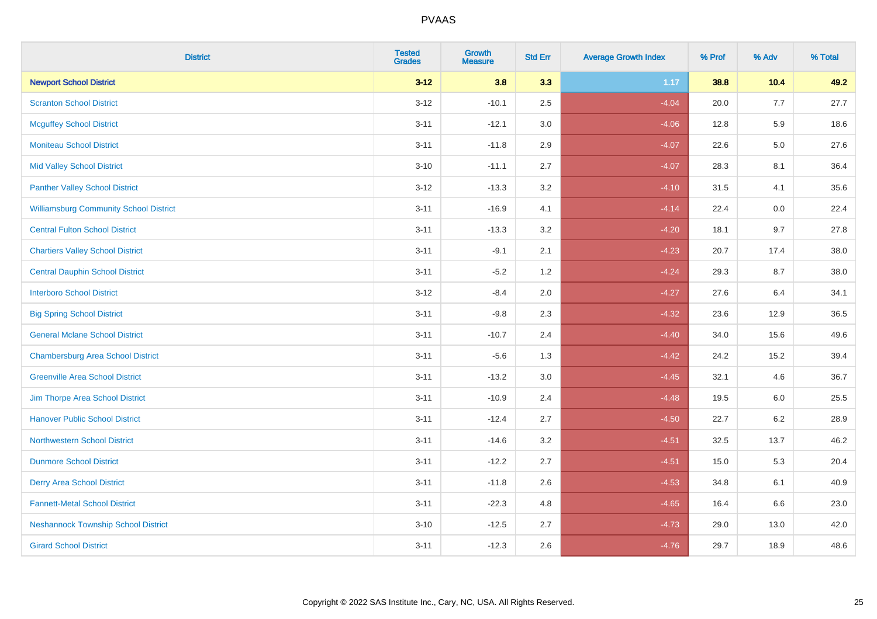| <b>District</b>                               | <b>Tested</b><br><b>Grades</b> | <b>Growth</b><br><b>Measure</b> | <b>Std Err</b> | <b>Average Growth Index</b> | % Prof | % Adv   | % Total |
|-----------------------------------------------|--------------------------------|---------------------------------|----------------|-----------------------------|--------|---------|---------|
| <b>Newport School District</b>                | $3 - 12$                       | 3.8                             | 3.3            | 1.17                        | 38.8   | 10.4    | 49.2    |
| <b>Scranton School District</b>               | $3 - 12$                       | $-10.1$                         | 2.5            | $-4.04$                     | 20.0   | 7.7     | 27.7    |
| <b>Mcguffey School District</b>               | $3 - 11$                       | $-12.1$                         | 3.0            | $-4.06$                     | 12.8   | 5.9     | 18.6    |
| <b>Moniteau School District</b>               | $3 - 11$                       | $-11.8$                         | 2.9            | $-4.07$                     | 22.6   | $5.0\,$ | 27.6    |
| <b>Mid Valley School District</b>             | $3 - 10$                       | $-11.1$                         | 2.7            | $-4.07$                     | 28.3   | 8.1     | 36.4    |
| <b>Panther Valley School District</b>         | $3 - 12$                       | $-13.3$                         | 3.2            | $-4.10$                     | 31.5   | 4.1     | 35.6    |
| <b>Williamsburg Community School District</b> | $3 - 11$                       | $-16.9$                         | 4.1            | $-4.14$                     | 22.4   | 0.0     | 22.4    |
| <b>Central Fulton School District</b>         | $3 - 11$                       | $-13.3$                         | 3.2            | $-4.20$                     | 18.1   | 9.7     | 27.8    |
| <b>Chartiers Valley School District</b>       | $3 - 11$                       | $-9.1$                          | 2.1            | $-4.23$                     | 20.7   | 17.4    | 38.0    |
| <b>Central Dauphin School District</b>        | $3 - 11$                       | $-5.2$                          | 1.2            | $-4.24$                     | 29.3   | 8.7     | 38.0    |
| <b>Interboro School District</b>              | $3 - 12$                       | $-8.4$                          | 2.0            | $-4.27$                     | 27.6   | 6.4     | 34.1    |
| <b>Big Spring School District</b>             | $3 - 11$                       | $-9.8$                          | 2.3            | $-4.32$                     | 23.6   | 12.9    | 36.5    |
| <b>General Mclane School District</b>         | $3 - 11$                       | $-10.7$                         | 2.4            | $-4.40$                     | 34.0   | 15.6    | 49.6    |
| <b>Chambersburg Area School District</b>      | $3 - 11$                       | $-5.6$                          | 1.3            | $-4.42$                     | 24.2   | 15.2    | 39.4    |
| <b>Greenville Area School District</b>        | $3 - 11$                       | $-13.2$                         | 3.0            | $-4.45$                     | 32.1   | 4.6     | 36.7    |
| Jim Thorpe Area School District               | $3 - 11$                       | $-10.9$                         | 2.4            | $-4.48$                     | 19.5   | 6.0     | 25.5    |
| <b>Hanover Public School District</b>         | $3 - 11$                       | $-12.4$                         | 2.7            | $-4.50$                     | 22.7   | $6.2\,$ | 28.9    |
| <b>Northwestern School District</b>           | $3 - 11$                       | $-14.6$                         | 3.2            | $-4.51$                     | 32.5   | 13.7    | 46.2    |
| <b>Dunmore School District</b>                | $3 - 11$                       | $-12.2$                         | 2.7            | $-4.51$                     | 15.0   | 5.3     | 20.4    |
| <b>Derry Area School District</b>             | $3 - 11$                       | $-11.8$                         | 2.6            | $-4.53$                     | 34.8   | 6.1     | 40.9    |
| <b>Fannett-Metal School District</b>          | $3 - 11$                       | $-22.3$                         | 4.8            | $-4.65$                     | 16.4   | 6.6     | 23.0    |
| <b>Neshannock Township School District</b>    | $3 - 10$                       | $-12.5$                         | 2.7            | $-4.73$                     | 29.0   | 13.0    | 42.0    |
| <b>Girard School District</b>                 | $3 - 11$                       | $-12.3$                         | 2.6            | $-4.76$                     | 29.7   | 18.9    | 48.6    |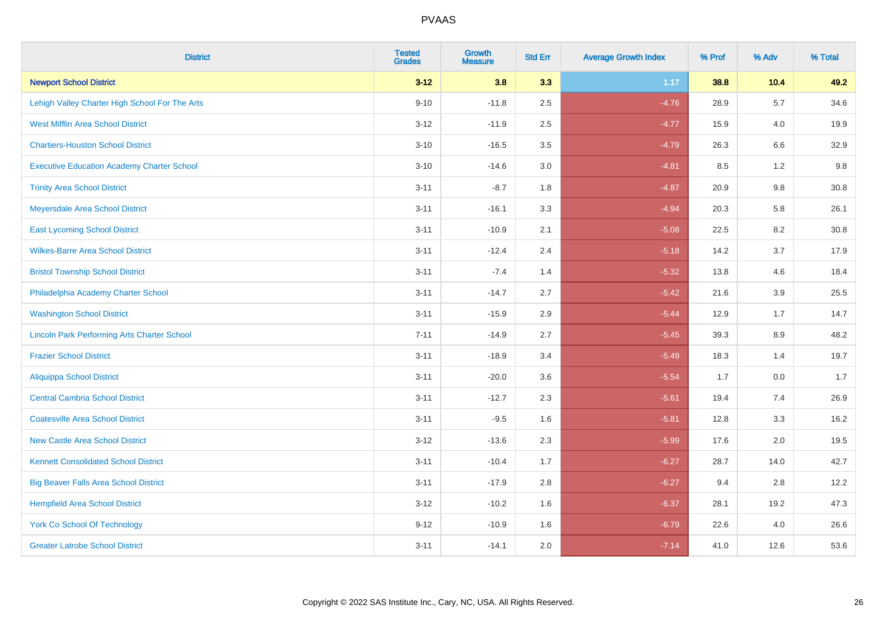| <b>District</b>                                    | <b>Tested</b><br><b>Grades</b> | <b>Growth</b><br><b>Measure</b> | <b>Std Err</b> | <b>Average Growth Index</b> | % Prof | % Adv   | % Total |
|----------------------------------------------------|--------------------------------|---------------------------------|----------------|-----------------------------|--------|---------|---------|
| <b>Newport School District</b>                     | $3 - 12$                       | 3.8                             | 3.3            | 1.17                        | 38.8   | 10.4    | 49.2    |
| Lehigh Valley Charter High School For The Arts     | $9 - 10$                       | $-11.8$                         | 2.5            | $-4.76$                     | 28.9   | 5.7     | 34.6    |
| <b>West Mifflin Area School District</b>           | $3 - 12$                       | $-11.9$                         | 2.5            | $-4.77$                     | 15.9   | 4.0     | 19.9    |
| <b>Chartiers-Houston School District</b>           | $3 - 10$                       | $-16.5$                         | 3.5            | $-4.79$                     | 26.3   | 6.6     | 32.9    |
| <b>Executive Education Academy Charter School</b>  | $3 - 10$                       | $-14.6$                         | 3.0            | $-4.81$                     | 8.5    | 1.2     | 9.8     |
| <b>Trinity Area School District</b>                | $3 - 11$                       | $-8.7$                          | 1.8            | $-4.87$                     | 20.9   | 9.8     | 30.8    |
| Meyersdale Area School District                    | $3 - 11$                       | $-16.1$                         | 3.3            | $-4.94$                     | 20.3   | 5.8     | 26.1    |
| <b>East Lycoming School District</b>               | $3 - 11$                       | $-10.9$                         | 2.1            | $-5.08$                     | 22.5   | 8.2     | 30.8    |
| <b>Wilkes-Barre Area School District</b>           | $3 - 11$                       | $-12.4$                         | 2.4            | $-5.18$                     | 14.2   | 3.7     | 17.9    |
| <b>Bristol Township School District</b>            | $3 - 11$                       | $-7.4$                          | 1.4            | $-5.32$                     | 13.8   | 4.6     | 18.4    |
| Philadelphia Academy Charter School                | $3 - 11$                       | $-14.7$                         | 2.7            | $-5.42$                     | 21.6   | 3.9     | 25.5    |
| <b>Washington School District</b>                  | $3 - 11$                       | $-15.9$                         | 2.9            | $-5.44$                     | 12.9   | 1.7     | 14.7    |
| <b>Lincoln Park Performing Arts Charter School</b> | $7 - 11$                       | $-14.9$                         | 2.7            | $-5.45$                     | 39.3   | $8.9\,$ | 48.2    |
| <b>Frazier School District</b>                     | $3 - 11$                       | $-18.9$                         | 3.4            | $-5.49$                     | 18.3   | 1.4     | 19.7    |
| <b>Aliquippa School District</b>                   | $3 - 11$                       | $-20.0$                         | 3.6            | $-5.54$                     | 1.7    | 0.0     | 1.7     |
| <b>Central Cambria School District</b>             | $3 - 11$                       | $-12.7$                         | 2.3            | $-5.61$                     | 19.4   | 7.4     | 26.9    |
| <b>Coatesville Area School District</b>            | $3 - 11$                       | $-9.5$                          | 1.6            | $-5.81$                     | 12.8   | 3.3     | 16.2    |
| <b>New Castle Area School District</b>             | $3 - 12$                       | $-13.6$                         | 2.3            | $-5.99$                     | 17.6   | 2.0     | 19.5    |
| <b>Kennett Consolidated School District</b>        | $3 - 11$                       | $-10.4$                         | 1.7            | $-6.27$                     | 28.7   | 14.0    | 42.7    |
| <b>Big Beaver Falls Area School District</b>       | $3 - 11$                       | $-17.9$                         | 2.8            | $-6.27$                     | 9.4    | 2.8     | 12.2    |
| <b>Hempfield Area School District</b>              | $3 - 12$                       | $-10.2$                         | 1.6            | $-6.37$                     | 28.1   | 19.2    | 47.3    |
| York Co School Of Technology                       | $9 - 12$                       | $-10.9$                         | 1.6            | $-6.79$                     | 22.6   | 4.0     | 26.6    |
| <b>Greater Latrobe School District</b>             | $3 - 11$                       | $-14.1$                         | 2.0            | $-7.14$                     | 41.0   | 12.6    | 53.6    |